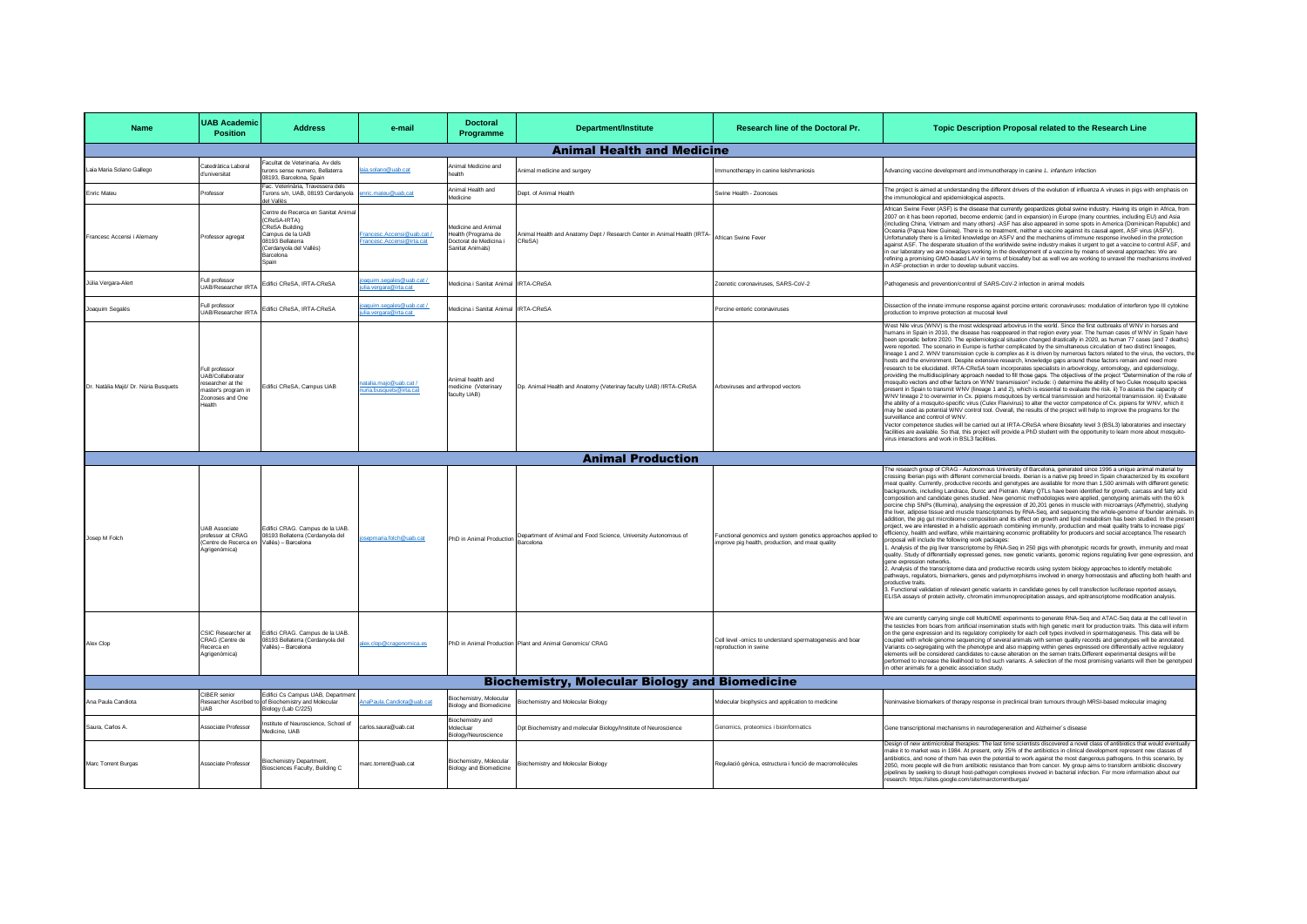| <b>Name</b>                          | <b>UAB Academic</b><br><b>Position</b>                                                                     | <b>Address</b>                                                                                                                                                      | e-mail                                                | <b>Doctoral</b><br>Programme                                                             | <b>Department/Institute</b>                                                                           | Research line of the Doctoral Pr.                                                                                 | Topic Description Proposal related to the Research Line                                                                                                                                                                                                                                                                                                                                                                                                                                                                                                                                                                                                                                                                                                                                                                                                                                                                                                                                                                                                                                                                                                                                                                                                                                                                                                                                                                                                                                                                                                                                                                                                                                                                                                                                                                                                                                                                                                                                                                                                                                                                                                   |
|--------------------------------------|------------------------------------------------------------------------------------------------------------|---------------------------------------------------------------------------------------------------------------------------------------------------------------------|-------------------------------------------------------|------------------------------------------------------------------------------------------|-------------------------------------------------------------------------------------------------------|-------------------------------------------------------------------------------------------------------------------|-----------------------------------------------------------------------------------------------------------------------------------------------------------------------------------------------------------------------------------------------------------------------------------------------------------------------------------------------------------------------------------------------------------------------------------------------------------------------------------------------------------------------------------------------------------------------------------------------------------------------------------------------------------------------------------------------------------------------------------------------------------------------------------------------------------------------------------------------------------------------------------------------------------------------------------------------------------------------------------------------------------------------------------------------------------------------------------------------------------------------------------------------------------------------------------------------------------------------------------------------------------------------------------------------------------------------------------------------------------------------------------------------------------------------------------------------------------------------------------------------------------------------------------------------------------------------------------------------------------------------------------------------------------------------------------------------------------------------------------------------------------------------------------------------------------------------------------------------------------------------------------------------------------------------------------------------------------------------------------------------------------------------------------------------------------------------------------------------------------------------------------------------------------|
|                                      |                                                                                                            |                                                                                                                                                                     |                                                       |                                                                                          | <b>Animal Health and Medicine</b>                                                                     |                                                                                                                   |                                                                                                                                                                                                                                                                                                                                                                                                                                                                                                                                                                                                                                                                                                                                                                                                                                                                                                                                                                                                                                                                                                                                                                                                                                                                                                                                                                                                                                                                                                                                                                                                                                                                                                                                                                                                                                                                                                                                                                                                                                                                                                                                                           |
| Laia Maria Solano Gallego            | Catedràtica Laboral<br>d'universitat                                                                       | Facultat de Veterinaria. Av dels<br>turons sense numero. Bellaterra<br>08193, Barcelona, Spain                                                                      | ia.solano@uab.cat                                     | Animal Medicine and<br>ealth                                                             | Animal medicine and surgery                                                                           | mmunotherapy in canine leishmaniosis                                                                              | Advancing vaccine development and immunotherapy in canine L. infantum infection                                                                                                                                                                                                                                                                                                                                                                                                                                                                                                                                                                                                                                                                                                                                                                                                                                                                                                                                                                                                                                                                                                                                                                                                                                                                                                                                                                                                                                                                                                                                                                                                                                                                                                                                                                                                                                                                                                                                                                                                                                                                           |
| Enric Mateu                          | Professor                                                                                                  | ac. Veterinària. Travessera dels<br>Turons s/n, UAB, 08193 Cerdanyola<br>lel Vallès                                                                                 | nric.mateu@uab.cat                                    | Animal Health and<br>Medicine                                                            | Dept. of Animal Health                                                                                | Swine Health - Zoonoses                                                                                           | The project is aimed at understanding the different drivers of the evolution of influenza A viruses in pigs with emphasis on<br>the immunological and epidemiological aspects.                                                                                                                                                                                                                                                                                                                                                                                                                                                                                                                                                                                                                                                                                                                                                                                                                                                                                                                                                                                                                                                                                                                                                                                                                                                                                                                                                                                                                                                                                                                                                                                                                                                                                                                                                                                                                                                                                                                                                                            |
| Francesc Accensi i Alemany           | Professor agregat                                                                                          | Centre de Recerca en Sanitat Anima<br>(CReSA-IRTA)<br><b>CReSA Building</b><br>Campus de la UAB<br>8193 Bellaterra<br>(Cerdanyola del Vallès)<br>Barcelona<br>Spain | Francesc.Accensi@uab.cat/<br>rancesc.Accensi@irta.cat | Medicine and Animal<br>lealth (Programa de<br>Occtorat de Medicina i<br>Sanitat Animals) | Animal Health and Anatomy Dept / Research Center in Animal Health (IRTA-<br>CReSA)                    | African Swine Feyer                                                                                               | African Swine Fever (ASF) is the disease that currently geopardizes global swine industry. Having its origin in Africa, from<br>2007 on it has been reported, become endemic (and in expansion) in Europe (many countries, including EU) and Asia<br>(including China, Vietnam and many others) -ASF has also appeared in some spots in America (Dominican Republic) and<br>Oceania (Papua New Guinea). There is no treatment, neither a vaccine against its causal agent, ASF virus (ASFV),<br>Unfortunately there is a limited knowledge on ASFV and the mechanims of immune response involved in the protection<br>against ASF. The desperate situation of the worldwide swine industry makes it urgent to get a vaccine to control ASF, and<br>in our laboratory we are nowadays working in the development of a vaccine by means of several approaches: We are<br>efining a promising GMO-based LAV in terms of biosafety but as well we are working to unravel the mechanisms involved<br>n ASF-protection in order to develop subunit vaccins.                                                                                                                                                                                                                                                                                                                                                                                                                                                                                                                                                                                                                                                                                                                                                                                                                                                                                                                                                                                                                                                                                                     |
| Júlia Vergara-Alert                  | Full professor<br>UAB/Researcher IRT/                                                                      | Edifici CReSA, IRTA-CReSA                                                                                                                                           | aquim.segales@uab.cat/<br>a.vergara@irta.cat          | Medicina i Sanitat Animal IRTA-CReSA                                                     |                                                                                                       | Zoonotic coronaviruses, SARS-CoV-2                                                                                | Pathogenesis and prevention/control of SARS-CoV-2 infection in animal models                                                                                                                                                                                                                                                                                                                                                                                                                                                                                                                                                                                                                                                                                                                                                                                                                                                                                                                                                                                                                                                                                                                                                                                                                                                                                                                                                                                                                                                                                                                                                                                                                                                                                                                                                                                                                                                                                                                                                                                                                                                                              |
| Joaquim Segalés                      | Full professor<br><b>UAB/Researcher IRTA</b>                                                               | Edifici CReSA, IRTA-CReSA                                                                                                                                           | aquim.segales@uab.cat/<br>lia.vergara@irta.cat        | Medicina i Sanitat Animal IRTA-CReSA                                                     |                                                                                                       | Porcine enteric coronaviruses                                                                                     | Dissection of the innate immune response against porcine enteric coronaviruses: modulation of interferon type III cytokine<br>production to improve protection at mucosal level                                                                                                                                                                                                                                                                                                                                                                                                                                                                                                                                                                                                                                                                                                                                                                                                                                                                                                                                                                                                                                                                                                                                                                                                                                                                                                                                                                                                                                                                                                                                                                                                                                                                                                                                                                                                                                                                                                                                                                           |
| Dr. Natàlia Majó/ Dr. Núria Busquets | Full professor<br>UAB/Collaborator<br>esearcher at the<br>haster's program in<br>Zoonoses and One<br>ealth | Edifici CReSA, Campus UAB                                                                                                                                           | natalia.majo@uab.cat /<br>uria.busquets@irta.cat      | hne dilead leminA<br>nedicine (Veterinary<br>faculty UAB)                                | Dp. Animal Health and Anatomy (Veterinay faculty UAB) /IRTA-CReSA                                     | Arboviruses and arthropod vectors                                                                                 | West Nile virus (WNV) is the most widespread arbovirus in the world. Since the first outbreaks of WNV in horses and<br>humans in Spain in 2010, the disease has reappeared in that region every year. The human cases of WNV in Spain have<br>been sporadic before 2020. The epidemiological situation changed drastically in 2020, as human 77 cases (and 7 deaths)<br>were reported. The scenario in Europe is further complicated by the simultaneous circulation of two distinct lineages,<br>lineage 1 and 2. WNV transmission cycle is complex as it is driven by numerous factors related to the virus, the vectors, th<br>hosts and the environment. Despite extensive research, knowledge gaps around these factors remain and need more<br>research to be elucidated. IRTA-CReSA team incorporates specialists in arbovirology, entomology, and epidemiology,<br>providing the multidisciplinary approach needed to fill those gaps. The objectives of the project "Determination of the role of<br>mosquito vectors and other factors on WNV transmission" include: i) determine the ability of two Culex mosquito species<br>present in Spain to transmit WNV (lineage 1 and 2), which is essential to evaluate the risk. ii) To assess the capacity of<br>WNV lineage 2 to overwinter in Cx. pipiens mosquitoes by vertical transmission and horizontal transmission. iii) Evaluate<br>the ability of a mosquito-specific virus (Culex Flavivirus) to alter the vector competence of Cx. pipiens for WNV, which it<br>may be used as potential WNV control tool. Overall, the results of the project will help to improve the programs for the<br>surveillance and control of WNV<br>Vector competence studies will be carried out at IRTA-CReSA where Biosafety level 3 (BSL3) laboratories and insectary<br>facilities are available. So that, this project will provide a PhD student with the opportunity to learn more about mosquito-<br>virus interactions and work in BSL3 facilities.                                                                                                                                               |
|                                      |                                                                                                            |                                                                                                                                                                     |                                                       |                                                                                          | <b>Animal Production</b>                                                                              |                                                                                                                   |                                                                                                                                                                                                                                                                                                                                                                                                                                                                                                                                                                                                                                                                                                                                                                                                                                                                                                                                                                                                                                                                                                                                                                                                                                                                                                                                                                                                                                                                                                                                                                                                                                                                                                                                                                                                                                                                                                                                                                                                                                                                                                                                                           |
| Josep M Folch                        | <b>UAB Associate</b><br>professor at CRAG<br>.<br>(Centre de Recerca en<br>Agrigenòmica)                   | Edifici CRAG. Campus de la UAB.<br>08193 Bellaterra (Cerdanyola del<br>Vallès) - Barcelona                                                                          | sepmaria.folch@uab.cat                                |                                                                                          | PhD in Animal Production Department of Animal and Food Science, University Autonomous of<br>Barcelona | Functional genomics and system genetics approaches applied to<br>improve pig health, production, and meat quality | he research group of CRAG - Autonomous University of Barcelona, generated since 1996 a unique animal material by<br>crossing Iberian pigs with different commercial breeds. Iberian is a native pig breed in Spain characterized by its excellent<br>meat quality. Currently, productive records and genotypes are available for more than 1,500 animals with different genetic<br>backgrounds, including Landrace, Duroc and Pietrain, Many QTLs have been identified for growth, carcass and fatty acid<br>composition and candidate genes studied. New genomic methodologies were applied, genotyping animals with the 60 k<br>porcine chip SNPs (Illumina), analysing the expression of 20,201 genes in muscle with microarrays (Affymetrix), studying<br>he liver, adipose tissue and muscle transcriptomes by RNA-Seq, and sequencing the whole-genome of founder animals. In<br>addition, the pig gut microbiome composition and its effect on growth and lipid metabolism has been studied. In the presen<br>project, we are interested in a holistic approach combining immunity, production and meat quality traits to increase pigs'<br>efficiency, health and welfare, while maintaining economic profitability for producers and social acceptance. The research<br>proposal will include the following work packages<br>. Analysis of the pig liver transcriptome by RNA-Seq in 250 pigs with phenotypic records for growth, immunity and meat<br>quality. Study of differentially expressed genes, new genetic variants, genomic regions regulating liver gene expression, and<br>gene expression networks.<br>.<br>2. Analysis of the transcriptome data and productive records using system biology approaches to identify metabolic<br>pathways, regulators, biomarkers, genes and polymorphisms involved in energy homeostasis and affecting both health and<br>productive traits.<br>3. Functional validation of relevant genetic variants in candidate genes by cell transfection luciferase reported assays.<br>ELISA assays of protein activity, chromatin immunoprecipitation assays, and epitranscriptome modification analysis. |
| Alex Clop                            | CSIC Researcher at<br>CRAG (Centre de<br>Recerca en<br>Agrigenòmica)                                       | Edifici CRAG Campus de la UAB<br>08193 Bellaterra (Cerdanyola del<br>/allès) - Barcelona                                                                            | ex.clop@cragenomica.es                                |                                                                                          | PhD in Animal Production Plant and Animal Genomics/ CRAG                                              | Cell level -omics to understand spermatogenesis and boar<br>reproduction in swine                                 | We are currently carrying single cell MultiOME experiments to generate RNA-Seq and ATAC-Seq data at the cell level in<br>the testicles from boars from artificial insemination studs with high genetic merit for production traits. This data will inform<br>on the gene expression and its regulatory complexity for each cell types involved in spermatogenesis. This data will be<br>coupled with whole genome sequencing of several animals with semen quality records and genotypes will be annotated.<br>Variants co-segregating with the phenotype and also mapping within genes expressed ore differentially active regulatory<br>elements will be considered candidates to cause alteration on the semen traits. Different experimental designs will be<br>performed to increase the likelihood to find such variants. A selection of the most promising variants will then be genotyped<br>in other animals for a genetic association study.                                                                                                                                                                                                                                                                                                                                                                                                                                                                                                                                                                                                                                                                                                                                                                                                                                                                                                                                                                                                                                                                                                                                                                                                    |
|                                      |                                                                                                            |                                                                                                                                                                     |                                                       |                                                                                          | <b>Biochemistry, Molecular Biology and Biomedicine</b>                                                |                                                                                                                   |                                                                                                                                                                                                                                                                                                                                                                                                                                                                                                                                                                                                                                                                                                                                                                                                                                                                                                                                                                                                                                                                                                                                                                                                                                                                                                                                                                                                                                                                                                                                                                                                                                                                                                                                                                                                                                                                                                                                                                                                                                                                                                                                                           |
| Ana Paula Candiota                   | CIBER senior<br>tesearcher Ascri<br>LIAR                                                                   | Edifici Cs Campus UAB, Departmen<br>of Biochemistry and Molecul<br>Biology (Lab C/225)                                                                              | aPaula.Candiota@uab.cat                               | inchemistry Molecular<br><b>Biology and Biomedicine</b>                                  | <b>Biochemistry and Molecular Biology</b>                                                             | Molecular biophysics and application to medicine                                                                  | Voninvasive biomarkers of therapy response in preclinical brain tumours through MRSI-based molecular imaging                                                                                                                                                                                                                                                                                                                                                                                                                                                                                                                                                                                                                                                                                                                                                                                                                                                                                                                                                                                                                                                                                                                                                                                                                                                                                                                                                                                                                                                                                                                                                                                                                                                                                                                                                                                                                                                                                                                                                                                                                                              |
| Saura, Carlos A.                     | Associate Professor                                                                                        | stitute of Neuroscience, School of<br>Medicine, UAB                                                                                                                 | arlos.saura@uab.cat                                   | Biochemistry and<br>Molecluar<br>Biology/Neuroscience                                    | Dpt Biochemistry and molecular Biology/Institute of Neuroscience                                      | Genomics, proteomics i bioinformatics                                                                             | Gene transcriptional mechanisms in neurodegeneration and Alzheimer's disease                                                                                                                                                                                                                                                                                                                                                                                                                                                                                                                                                                                                                                                                                                                                                                                                                                                                                                                                                                                                                                                                                                                                                                                                                                                                                                                                                                                                                                                                                                                                                                                                                                                                                                                                                                                                                                                                                                                                                                                                                                                                              |
| Marc Torrent Burgas                  | Associate Professor                                                                                        | <b>Siochemistry Department,</b><br>Biosciences Faculty, Building C                                                                                                  | marc.torrent@uab.cat                                  | Biochemistry, Molecular<br><b>Biology and Biomedicine</b>                                | Biochemistry and Molecular Biology                                                                    | Regulació gènica, estructura i funció de macromolècules                                                           | Design of new antimicrobial therapies: The last time scientists discovered a novel class of antibiotics that would eventually<br>make it to market was in 1984. At present, only 25% of the antibiotics in clinical development represent new classes of<br>antibiotics, and none of them has even the potential to work against the most dangerous pathogens. In this scenario, by<br>2050, more people will die from antibiotic resistance than from cancer. My group aims to transform antibiotic discovery<br>pipelines by seeking to disrupt host-pathogen complexes invoved in bacterial infection. For more information about our<br>research: https://sites.google.com/site/marctorrentburgas/                                                                                                                                                                                                                                                                                                                                                                                                                                                                                                                                                                                                                                                                                                                                                                                                                                                                                                                                                                                                                                                                                                                                                                                                                                                                                                                                                                                                                                                    |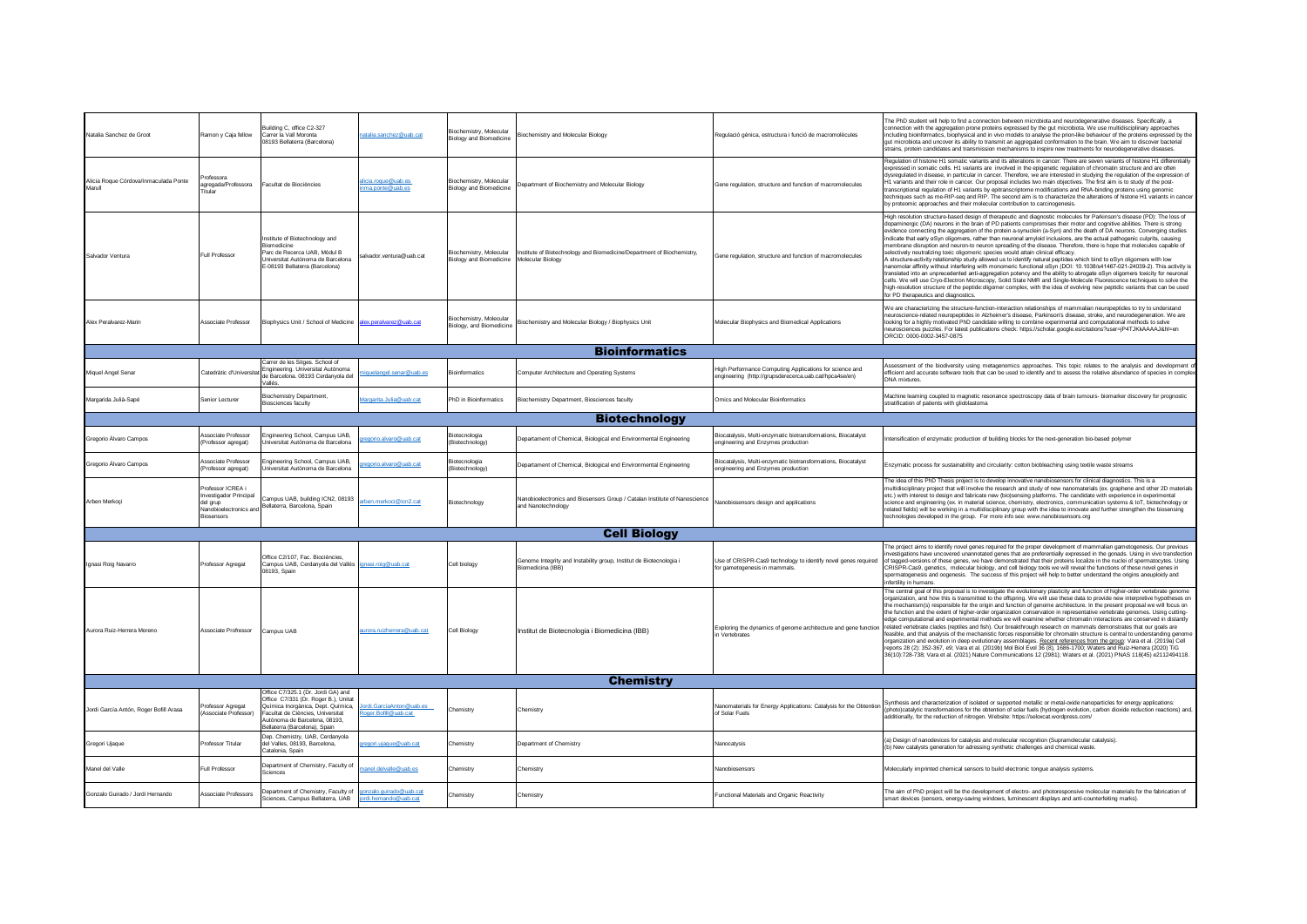| Natalia Sanchez de Groot                        | Ramon y Caja fellow                                                                                           | Building C. office C2-327<br>Carrer la Vall Moronta<br>08193 Bellaterra (Barcelona)                                                                                                                                    | atalia.sanchez@uab.cat                          | Biochemistry, Molecular<br><b>Biology and Biomedicine</b>            | Biochemistry and Molecular Biology                                                               | Regulació gènica, estructura i funció de macromolècules                                                           | The PhD student will help to find a connection between microbiota and neurodegenerative diseases. Specifically, a<br>connection with the aggregation prone proteins expressed by the gut microbiota. We use multidisciplinary approaches<br>including bioinformatics, biophysical and in vivo models to analyse the prion-like behaviour of the proteins expressed by the<br>gut microbiota and uncover its ability to transmit an aggregated conformation to the brain. We aim to discover bacterial<br>strains, protein candidates and transmission mechanisms to inspire new treatments for neurodegenerative diseases.                                                                                                                                                                                                                                                                                                                                                                                                                                                                                                                                                                                                                                                                                                                                                                                 |
|-------------------------------------------------|---------------------------------------------------------------------------------------------------------------|------------------------------------------------------------------------------------------------------------------------------------------------------------------------------------------------------------------------|-------------------------------------------------|----------------------------------------------------------------------|--------------------------------------------------------------------------------------------------|-------------------------------------------------------------------------------------------------------------------|------------------------------------------------------------------------------------------------------------------------------------------------------------------------------------------------------------------------------------------------------------------------------------------------------------------------------------------------------------------------------------------------------------------------------------------------------------------------------------------------------------------------------------------------------------------------------------------------------------------------------------------------------------------------------------------------------------------------------------------------------------------------------------------------------------------------------------------------------------------------------------------------------------------------------------------------------------------------------------------------------------------------------------------------------------------------------------------------------------------------------------------------------------------------------------------------------------------------------------------------------------------------------------------------------------------------------------------------------------------------------------------------------------|
| Alicia Roque Córdova/Inmaculada Ponte<br>Marull | Professora<br>agregada/Professora<br>Titular                                                                  | Facultat de Biociències                                                                                                                                                                                                | licia.roque@uab.es<br>ma.ponte@uab.es           | Biochemistry, Molecular<br><b>Biology and Biomedicine</b>            | Department of Biochemistry and Molecular Biology                                                 | Gene regulation, structure and function of macromolecules                                                         | Requiation of histone H1 somatic variants and its alterations in cancer: There are seven variants of histone H1 differentially<br>expressed in somatic cells. H1 variants are involved in the epigenetic regulation of chromatin structure and are often<br>dysregulated in disease, in particular in cancer. Therefore, we are interested in studying the regulation of the expression of<br>H1 variants and their role in cancer. Our proposal includes two main objectives. The first aim is to study of the post-<br>transcriptional regulation of H1 variants by epitranscriptome modifications and RNA-binding proteins using genomic<br>techniques such as me-RIP-seq and RIP. The second aim is to characterize the alterations of histone H1 variants in cancer<br>by proteomic approaches and their molecular contribution to carcinogenesis.                                                                                                                                                                                                                                                                                                                                                                                                                                                                                                                                                    |
| Salvador Ventura                                | Full Professor                                                                                                | Institute of Biotechnology and<br>Biomedicine<br>Parc de Recerca UAB, Mòdul B<br>Universitat Autònoma de Barcelona<br>E-08193 Bellaterra (Barcelona)                                                                   | alvador.ventura@uab.cat                         | Biochemistry, Molecular<br>Biology and Biomedicine Molecular Biology | Institute of Biotechnology and Biomedicine/Department of Biochemistry,                           | Gene regulation, structure and function of macromolecules                                                         | High resolution structure-based design of therapeutic and diagnostic molecules for Parkinson's disease (PD): The loss of<br>dopaminergic (DA) neurons in the brain of PD patients compromises their motor and cognitive abilities. There is strong<br>evidence connecting the aggregation of the protein a-synuclein (a-Syn) and the death of DA neurons. Converging studies<br>indicate that early aSyn oligomers, rather than neuronal amyloid inclusions, are the actual pathogenic culprits, causing<br>nembrane disruption and neuron-to neuron spreading of the disease. Therefore, there is hope that molecules capable of<br>selectively neutralizing toxic oligomeric species would attain clinical efficacy.<br>A structure-activity relationship study allowed us to identify natural peptides which bind to aSyn oligomers with low<br>nanomolar affinity without interfering with monomeric functional aSyn (DOI: 10.1038/s41467-021-24039-2). This activity is<br>translated into an unprecedented anti-aggregation potency and the ability to abrogate αSyn oligomers toxicity for neuronal<br>cells. We will use Cryo-Electron Microscopy, Solid State NMR and Single-Molecule Fluorescence techniques to solve the<br>high-resolution structure of the peptide:oligomer complex, with the idea of evolving new peptidic variants that can be used<br>for PD therapeutics and diagnostics. |
| Alex Peralvarez-Marin                           | Associate Professor                                                                                           | Biophysics Unit / School of Medicine alex.peralvarez@uab.cat                                                                                                                                                           |                                                 | Biochemistry, Molecular<br>Biology, and Biomedicine                  | Biochemistry and Molecular Biology / Biophysics Unit                                             | Molecular Biophysics and Biomedical Applications                                                                  | We are characterizing the structure-function-interaction relationships of mammalian neuropeotides to try to understand<br>neuroscience-related neuropeptides in Alzheimer's disease. Parkinson's disease, stroke, and neurodegeneration. We are<br>looking for a highly motivated PhD candidate willing to combine experimental and computational methods to solve<br>neurosciences puzzles. For latest publications check: https://scholar.google.es/citations?user=iP4TJKkAAAAJ&hl=en<br>ORCID: 0000-0002-3457-0875                                                                                                                                                                                                                                                                                                                                                                                                                                                                                                                                                                                                                                                                                                                                                                                                                                                                                      |
|                                                 |                                                                                                               |                                                                                                                                                                                                                        |                                                 |                                                                      | <b>Bioinformatics</b>                                                                            |                                                                                                                   |                                                                                                                                                                                                                                                                                                                                                                                                                                                                                                                                                                                                                                                                                                                                                                                                                                                                                                                                                                                                                                                                                                                                                                                                                                                                                                                                                                                                            |
| Miquel Angel Senar                              | Catedràtic d'Universi                                                                                         | Carrer de les Sitges. School of<br>Ingineering. Universitat Autònoma<br>de Barcelona. 08193 Cerdanyola del<br>'allée                                                                                                   | iquelangel.senar@uab.es                         | <b>Bioinformatics</b>                                                | Computer Architecture and Operating Systems                                                      | High Performance Computing Applications for science and<br>engineering (http://grupsderecerca.uab.cat/hpca4se/en) | Assessment of the biodiversity using metagenomics approaches. This topic relates to the analysis and development o<br>efficient and accurate software tools that can be used to identify and to assess the relative abundance of species in complex<br><b>DNA</b> mixtures                                                                                                                                                                                                                                                                                                                                                                                                                                                                                                                                                                                                                                                                                                                                                                                                                                                                                                                                                                                                                                                                                                                                 |
| Margarida Julià-Sapé                            | Senior Lecturer                                                                                               | <b>Biochemistry Department,</b><br><b>Biosciences faculty</b>                                                                                                                                                          | argarita.Julia@uab.cat                          | PhD in Bioinformatics                                                | Biochemistry Department, Biosciences faculty                                                     | Omics and Molecular Bioinformatics                                                                                | Machine learning coupled to magnetic resonance spectroscopy data of brain tumours- biomarker discovery for prognostic<br>stratification of patients with glioblastoma                                                                                                                                                                                                                                                                                                                                                                                                                                                                                                                                                                                                                                                                                                                                                                                                                                                                                                                                                                                                                                                                                                                                                                                                                                      |
|                                                 |                                                                                                               |                                                                                                                                                                                                                        |                                                 |                                                                      | <b>Biotechnology</b>                                                                             |                                                                                                                   |                                                                                                                                                                                                                                                                                                                                                                                                                                                                                                                                                                                                                                                                                                                                                                                                                                                                                                                                                                                                                                                                                                                                                                                                                                                                                                                                                                                                            |
| Gregorio Álvaro Campos                          | Associate Professo<br>(Professor agregat)                                                                     | Ingineering School, Campus UAB,<br>Iniversitat Autònoma de Barcelona                                                                                                                                                   | egorio.alvaro@uab.cat                           | Biotecnologia<br>(Biotechnology)                                     | Departament of Chemical, Biological end Environmental Engineering                                | Biocatalysis, Multi-enzymatic biotransformations, Biocatalyst<br>ingineering and Enzymes production               | ntensification of enzymatic production of building blocks for the next-generation bio-based polymer                                                                                                                                                                                                                                                                                                                                                                                                                                                                                                                                                                                                                                                                                                                                                                                                                                                                                                                                                                                                                                                                                                                                                                                                                                                                                                        |
| Gregorio Álvaro Campos                          | Associate Professo<br>(Professor agregat)                                                                     | Engineering School, Campus UAB,<br>Jniversitat Autònoma de Barcelona                                                                                                                                                   | egorio.alvaro@uab.cat                           | Biotecnologia<br>(Biotechnology)                                     | Jepartament of Chemical, Biological end Environmental Engineering                                | Biocatalysis, Multi-enzymatic biotransformations, Biocatalyst<br>ngineering and Enzymes production                | Enzymatic process for sustainability and circularity: cotton biobleaching using textile waste streams                                                                                                                                                                                                                                                                                                                                                                                                                                                                                                                                                                                                                                                                                                                                                                                                                                                                                                                                                                                                                                                                                                                                                                                                                                                                                                      |
| Arben Merkoci                                   | Professor ICREA i<br><b>Investigador Principal</b><br>del arup<br>Nanobioelectronics and<br><b>Biosensors</b> | Campus UAB, building ICN2, 08193<br>Bellaterra, Barcelona, Spain                                                                                                                                                       | hen merkoci@icn2 cat                            | Biotechnology                                                        | Vanobioelectronics and Biosensors Group / Catalan Institute of Nanoscience<br>and Nanotechnology | Nanobiosensors design and applications                                                                            | The idea of this PhD Thesis project is to develop innovative nanobiosensors for clinical diagnostics. This is a<br>multidisciplinary project that will involve the research and study of new nanomaterials (ex. graphene and other 2D materials<br>etc.) with interest to design and fabricate new (bio)sensing platforms. The candidate with experience in experimental<br>science and engineering (ex. in material science, chemistry, electronics, communication systems & IoT, biotechnology or<br>related fields) will be working in a multidisciplinary group with the idea to innovate and further strengthen the biosensing<br>technologies developed in the group. For more info see: www.nanobiosensors.org                                                                                                                                                                                                                                                                                                                                                                                                                                                                                                                                                                                                                                                                                      |
|                                                 |                                                                                                               |                                                                                                                                                                                                                        |                                                 |                                                                      | <b>Cell Biology</b>                                                                              |                                                                                                                   |                                                                                                                                                                                                                                                                                                                                                                                                                                                                                                                                                                                                                                                                                                                                                                                                                                                                                                                                                                                                                                                                                                                                                                                                                                                                                                                                                                                                            |
| Ignasi Roig Navarro                             | Professor Agrega                                                                                              | Office C2/107, Fac. Biociències.<br>Campus UAB, Cerdanyola del Vallès ignasi.roig@uab.cat<br>08193, Spain                                                                                                              |                                                 | Cell biology                                                         | Genome Integrity and Instability group, Institut de Biotecnologia i<br>Biomedicina (IBB)         | Use of CRISPR-Cas9 technology to identify novel genes required<br>or gametogenesis in mammals.                    | The project aims to identify novel genes required for the proper development of mammalian gametogenesis. Our previous<br>vestigations have uncovered unannotated genes that are preferentially expressed in the gonads. Using in vivo transfection<br>of tagged-versions of these genes, we have demonstrated that their proteins localize in the nuclei of spermatocytes. Using<br>CRISPR-Cas9, genetics, molecular biology, and cell biology tools we will reveal the functions of these novel genes in<br>spermatogenesis and oogenesis. The success of this project will help to better understand the origins aneuploidy and<br>infertility in humans.                                                                                                                                                                                                                                                                                                                                                                                                                                                                                                                                                                                                                                                                                                                                                |
| Aurora Ruiz-Herrera Moreno                      | Associate Profressor                                                                                          | Campus UAB                                                                                                                                                                                                             | aurora.ruizherrera@uab.cat                      | Cell Biology                                                         | Institut de Biotecnologia i Biomedicina (IBB)                                                    | Exploring the dynamics of genome architecture and gene function<br>n Vertebrates                                  | The central goal of this proposal is to investigate the evolutionary plasticity and function of higher-order vertebrate genome<br>organization, and how this is transmitted to the offspring. We will use these data to provide new interpretive hypotheses on<br>the mechanism(s) responsible for the origin and function of genome architecture. In the present proposal we will focus on<br>the function and the extent of higher-order organization conservation in representative vertebrate genomes. Using cutting-<br>edge computational and experimental methods we will examine whether chromatin interactions are conserved in distantly<br>related vertebrate clades (reptiles and fish). Our breakthrough research on mammals demonstrates that our goals are<br>feasible, and that analysis of the mechanistic forces responsible for chromatin structure is central to understanding genom<br>organization and evolution in deep evolutionary assemblages. Recent references from the group: Vara et al. (2019a) Cell<br>reports 28 (2): 352-367, e9; Vara et al. (2019b) Mol Biol Evol 36 (8), 1686-1700; Waters and Ruiz-Herrera (2020) TiG<br>36(10):728-738; Vara et al. (2021) Nature Communications 12 (2981); Waters et al. (2021) PNAS 118(45) e2112494118                                                                                                                           |
|                                                 |                                                                                                               |                                                                                                                                                                                                                        |                                                 |                                                                      | <b>Chemistry</b>                                                                                 |                                                                                                                   |                                                                                                                                                                                                                                                                                                                                                                                                                                                                                                                                                                                                                                                                                                                                                                                                                                                                                                                                                                                                                                                                                                                                                                                                                                                                                                                                                                                                            |
| Jordi García Antón, Roger Bofill Arasa          | Professor Agregat<br>Associate Professor)                                                                     | Office C7/325.1 (Dr. Jordi GA) and<br>Office C7/331 (Dr. Roger B.), Unitat<br>Química Inorgànica, Dept. Química,<br>acultat de Ciències. Universitat<br>Autònoma de Barcelona, 08193,<br>Bellaterra (Barcelona), Spain | ordi.GarciaAnton@uab.es<br>oger.Bofill@uab.cat  | Chemistry                                                            | Chemistry                                                                                        | Nanomaterials for Energy Applications: Catalysis for the Obtention<br>of Solar Fuels                              | Synthesis and characterization of isolated or supported metallic or metal-oxide nanoparticles for energy applications:<br>(photo)catalytic transformations for the obtention of solar fuels (hydrogen evolution, carbon dioxide reduction reactions) and,<br>additionally, for the reduction of nitrogen. Website: https://seloxcat.wordpress.com/                                                                                                                                                                                                                                                                                                                                                                                                                                                                                                                                                                                                                                                                                                                                                                                                                                                                                                                                                                                                                                                         |
| Gregori Ujaque                                  | <b>Professor Titular</b>                                                                                      | Dep. Chemistry, UAB. Cerdanyola<br>del Valles, 08193, Barcelona,<br>Catalonia, Spain                                                                                                                                   | regori.ujaque@uab.cat                           | Chemistry                                                            | Department of Chemistry                                                                          | Nanocatysis                                                                                                       | (a) Design of nanodevices for catalysis and molecular recognition (Supramolecular catalysis).<br>(b) New catalysts generation for adressing synthetic challenges and chemical waste                                                                                                                                                                                                                                                                                                                                                                                                                                                                                                                                                                                                                                                                                                                                                                                                                                                                                                                                                                                                                                                                                                                                                                                                                        |
| Manel del Valle                                 | Full Professor                                                                                                | Department of Chemistry, Faculty of<br>Sciences                                                                                                                                                                        | nanel.delvalle@uab.es                           | Chemistry                                                            | Chemistry                                                                                        | Nanobiosensors                                                                                                    | Molecularly imprinted chemical sensors to build electronic tongue analysis systems.                                                                                                                                                                                                                                                                                                                                                                                                                                                                                                                                                                                                                                                                                                                                                                                                                                                                                                                                                                                                                                                                                                                                                                                                                                                                                                                        |
| Gonzalo Guirado / Jordi Hernando                | Associate Professors                                                                                          | Department of Chemistry, Faculty of<br>Sciences, Campus Bellaterra, UAB                                                                                                                                                | onzalo.quirado@uab.cat<br>ordi.hernando@uab.cat | Chemistry                                                            | Chemistry                                                                                        | Functional Materials and Organic Reactivity                                                                       | The aim of PhD project will be the development of electro- and photoresponsive molecular materials for the fabrication of<br>smart devices (sensors, energy-saving windows, luminescent displays and anti-counterfeiting marks).                                                                                                                                                                                                                                                                                                                                                                                                                                                                                                                                                                                                                                                                                                                                                                                                                                                                                                                                                                                                                                                                                                                                                                           |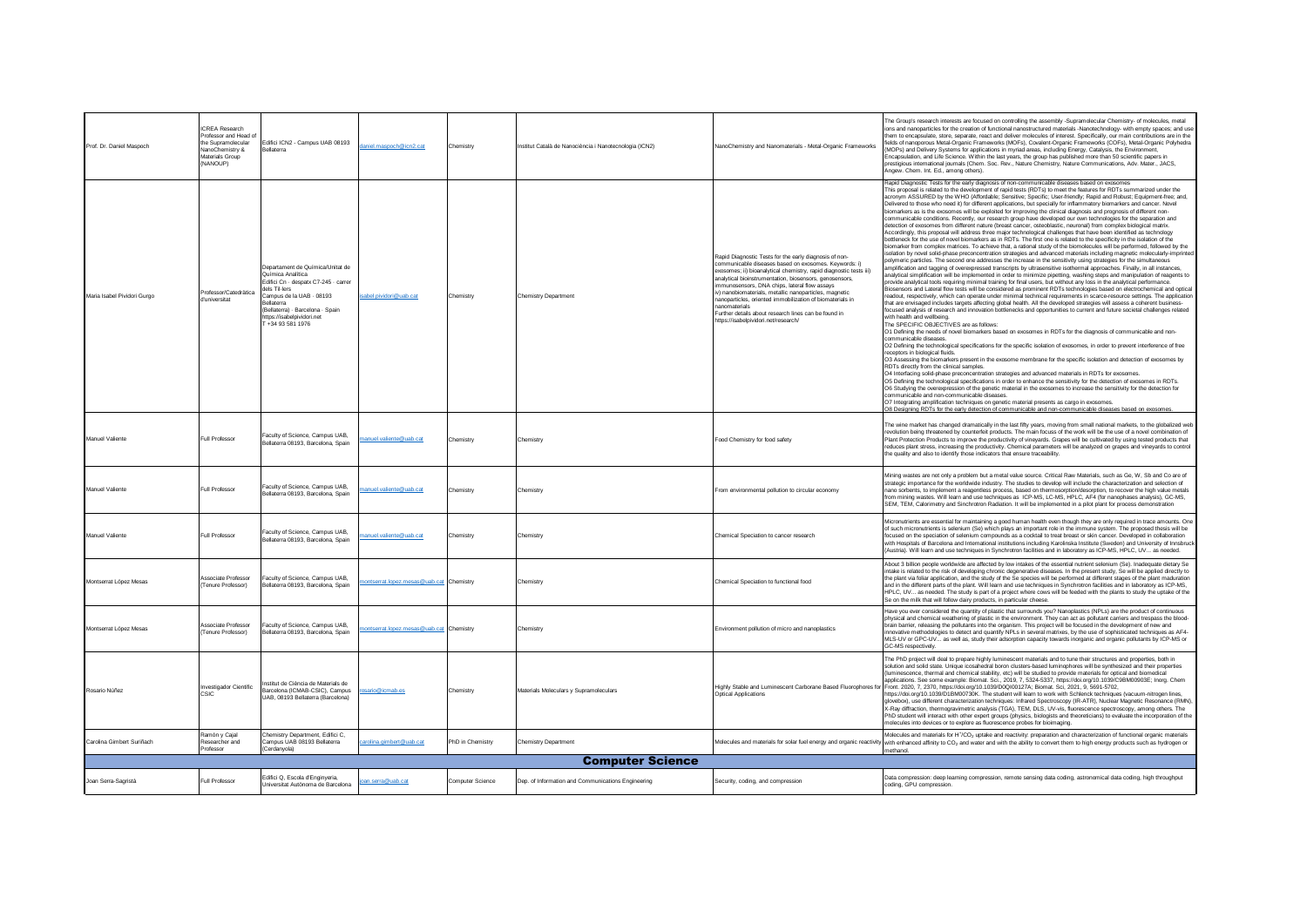| Prof. Dr. Daniel Maspoch    | <b>ICREA Research</b><br>Professor and Head of<br>the Supramolecular<br>NanoChemistry &<br>Materials Group<br>(NANOUP) | Edifici ICN2 - Campus UAB 08193<br><b>Bellaterra</b>                                                                                                                                                                                                   | laniel.maspoch@icn2.cat                 | Chemistry        | Institut Català de Nanociència i Nanotecnologia (ICN2) | NanoChemistry and Nanomaterials - Metal-Organic Frameworks                                                                                                                                                                                                                                                                                                                                                                                                                                                                                | The Group's research interests are focused on controlling the assembly -Supramolecular Chemistry- of molecules, metal<br>ions and nanoparticles for the creation of functional nanostructured materials -Nanotechnology- with empty spaces: and use<br>them to encapsulate, store, separate, react and deliver molecules of interest. Specifically, our main contributions are in the<br>fields of nanoporous Metal-Organic Frameworks (MOFs), Covalent-Organic Frameworks (COFs), Metal-Organic Polyhedra<br>(MOPs) and Delivery Systems for applications in myriad areas, including Energy, Catalysis, the Environment,<br>Encapsulation, and Life Science. Within the last years, the group has published more than 50 scientific papers in<br>prestigious international journals (Chem. Soc. Rev., Nature Chemistry, Nature Communications, Adv. Mater., JACS,<br>Angew. Chem. Int. Ed., among others).                                                                                                                                                                                                                                                                                                                                                                                                                                                                                                                                                                                                                                                                                                                                                                                                                                                                                                                                                                                                                                                                                                                                                                                                                                                                                                                                                                                                                                                                                                                                                                                                                                                                                                                                                                                                                                                                                                                                                                                                                                                                                                                                                                                                                                                                                                                                                                                                                                                                                                                                                                                                                                                                       |
|-----------------------------|------------------------------------------------------------------------------------------------------------------------|--------------------------------------------------------------------------------------------------------------------------------------------------------------------------------------------------------------------------------------------------------|-----------------------------------------|------------------|--------------------------------------------------------|-------------------------------------------------------------------------------------------------------------------------------------------------------------------------------------------------------------------------------------------------------------------------------------------------------------------------------------------------------------------------------------------------------------------------------------------------------------------------------------------------------------------------------------------|-----------------------------------------------------------------------------------------------------------------------------------------------------------------------------------------------------------------------------------------------------------------------------------------------------------------------------------------------------------------------------------------------------------------------------------------------------------------------------------------------------------------------------------------------------------------------------------------------------------------------------------------------------------------------------------------------------------------------------------------------------------------------------------------------------------------------------------------------------------------------------------------------------------------------------------------------------------------------------------------------------------------------------------------------------------------------------------------------------------------------------------------------------------------------------------------------------------------------------------------------------------------------------------------------------------------------------------------------------------------------------------------------------------------------------------------------------------------------------------------------------------------------------------------------------------------------------------------------------------------------------------------------------------------------------------------------------------------------------------------------------------------------------------------------------------------------------------------------------------------------------------------------------------------------------------------------------------------------------------------------------------------------------------------------------------------------------------------------------------------------------------------------------------------------------------------------------------------------------------------------------------------------------------------------------------------------------------------------------------------------------------------------------------------------------------------------------------------------------------------------------------------------------------------------------------------------------------------------------------------------------------------------------------------------------------------------------------------------------------------------------------------------------------------------------------------------------------------------------------------------------------------------------------------------------------------------------------------------------------------------------------------------------------------------------------------------------------------------------------------------------------------------------------------------------------------------------------------------------------------------------------------------------------------------------------------------------------------------------------------------------------------------------------------------------------------------------------------------------------------------------------------------------------------------------------------------------------|
| Maria Isabel Pividori Gurgo | Professor/Catedràtica<br>d'universitat                                                                                 | Departament de Química/Unitat de<br>Química Analítica<br>Edifici Cn - despatx C7-245 - carrer<br>dels Til-lers<br>Campus de la UAB - 08193<br><b>Bellaterra</b><br>(Bellaterra) - Barcelona - Spain<br>https://isabelpividori.net<br>T +34 93 581 1976 | ahel nividori@uah cat                   | Chemistry        | <b>Chemistry Department</b>                            | Rapid Diagnostic Tests for the early diagnosis of non-<br>communicable diseases based on exosomes. Keywords: i)<br>exosomes; ii) bioanalytical chemistry, rapid diagnostic tests iii)<br>analytical bioinstrumentation, biosensors, genosensors,<br>immunosensors, DNA chips, lateral flow assays<br>iv) nanobiomaterials, metallic nanoparticles, magnetic<br>nanoparticles, oriented immobilization of biomaterials in<br>nanomaterials<br>Further details about research lines can be found in<br>https://isabelpividori.net/research/ | Rapid Diagnostic Tests for the early diagnosis of non-communicable diseases based on exosomes<br>This proposal is related to the development of rapid tests (RDTs) to meet the features for RDTs summarized under the<br>acronym ASSURED by the WHO (Affordable; Sensitive; Specific; User-friendly; Rapid and Robust; Equipment-free; and,<br>Delivered to those who need it) for different applications, but specially for inflammatory biomarkers and cancer. Novel<br>biomarkers as is the exosomes will be exploited for improving the clinical diagnosis and prognosis of different non-<br>communicable conditions. Recently, our research group have developed our own technologies for the separation and<br>detection of exosomes from different nature (breast cancer, osteoblastic, neuronal) from complex biological matrix.<br>Accordingly, this proposal will address three major technological challenges that have been identified as technology<br>bottleneck for the use of novel biomarkers as in RDTs. The first one is related to the specificity in the isolation of the<br>biomarker from complex matrices. To achieve that, a rational study of the biomolecules will be performed, followed by the<br>isolation by novel solid-phase preconcentration strategies and advanced materials including magnetic molecularly-imprinted<br>polymeric particles. The second one addresses the increase in the sensitivity using strategies for the simultaneous<br>amplification and tagging of overexpressed transcripts by ultrasensitive isothermal approaches. Finally, in all instances,<br>analytical simplification will be implemented in order to minimize pipetting, washing steps and manipulation of reagents to<br>provide analytical tools requiring minimal training for final users, but without any loss in the analytical performance.<br>Biosensors and Lateral flow tests will be considered as prominent RDTs technologies based on electrochemical and optical<br>readout, respectively, which can operate under minimal technical requirements in scarce-resource settings. The application<br>that are envisaged includes targets affecting global health. All the developed strategies will assess a coherent business-<br>focused analysis of research and innovation bottlenecks and opportunities to current and future societal challenges related<br>with health and wellbeing.<br>The SPECIFIC OBJECTIVES are as follows:<br>O1 Defining the needs of novel biomarkers based on exosomes in RDTs for the diagnosis of communicable and non-<br>communicable diseases<br>O2 Defining the technological specifications for the specific isolation of exosomes, in order to prevent interference of free<br>receptors in biological fluids.<br>O3 Assessing the biomarkers present in the exosome membrane for the specific isolation and detection of exosomes by<br>RDTs directly from the clinical samples.<br>O4 Interfacing solid-phase preconcentration strategies and advanced materials in RDTs for exosomes<br>O5 Defining the technological specifications in order to enhance the sensitivity for the detection of exosomes in RDTs.<br>O6 Studying the overexpression of the genetic material in the exosomes to increase the sensitivity for the detection for<br>communicable and non-communicable diseases<br>O7 Integrating amplification techniques on genetic material presents as cargo in exosomes.<br>O8 Designing RDTs for the early detection of communicable and non-communicable diseases based on exosome |
| Manuel Valiente             | <b>Full Professor</b>                                                                                                  | Faculty of Science, Campus UAB<br>Bellaterra 08193, Barcelona, Spain                                                                                                                                                                                   | nanuel.valiente@uab.cat                 | Chemistry        | Chemistry                                              | Food Chemistry for food safety                                                                                                                                                                                                                                                                                                                                                                                                                                                                                                            | The wine market has changed dramatically in the last fifty years, moving from small national markets, to the globalized web<br>revolution being threatened by counterfeit products. The main focuss of the work will be the use of a novel combination of<br>Plant Protection Products to improve the productivity of vineyards. Grapes will be cultivated by using tested products that<br>reduces plant stress, increasing the productivity. Chemical parameters will be analyzed on grapes and vineyards to control<br>the quality and also to identify those indicators that ensure traceability.                                                                                                                                                                                                                                                                                                                                                                                                                                                                                                                                                                                                                                                                                                                                                                                                                                                                                                                                                                                                                                                                                                                                                                                                                                                                                                                                                                                                                                                                                                                                                                                                                                                                                                                                                                                                                                                                                                                                                                                                                                                                                                                                                                                                                                                                                                                                                                                                                                                                                                                                                                                                                                                                                                                                                                                                                                                                                                                                                                             |
| Manuel Valiente             | Full Professor                                                                                                         | Faculty of Science, Campus UAB.<br>Bellaterra 08193, Barcelona, Spain                                                                                                                                                                                  | anuel.valiente@uab.cat                  | Chemistry        | Chemistry                                              | From environmental pollution to circular economy                                                                                                                                                                                                                                                                                                                                                                                                                                                                                          | Mining wastes are not only a problem but a metal value source. Critical Raw Materials, such as Ge, W, Sb and Co are of<br>strategic importance for the worldwide industry. The studies to develop will include the characterization and selection of<br>nano sorbents, to implement a reagentless process, based on thermosorption/desorption, to recover the high value metals<br>from mining wastes. Will learn and use techniques as ICP-MS, LC-MS, HPLC, AF4 (for nanophases analysis), GC-MS,<br>SEM, TEM, Calorimetry and Sinchrotron Radiation. It will be implemented in a pilot plant for process demonstration                                                                                                                                                                                                                                                                                                                                                                                                                                                                                                                                                                                                                                                                                                                                                                                                                                                                                                                                                                                                                                                                                                                                                                                                                                                                                                                                                                                                                                                                                                                                                                                                                                                                                                                                                                                                                                                                                                                                                                                                                                                                                                                                                                                                                                                                                                                                                                                                                                                                                                                                                                                                                                                                                                                                                                                                                                                                                                                                                          |
| Manuel Valiente             | Full Professo                                                                                                          | Faculty of Science, Campus UAB,<br>Bellaterra 08193, Barcelona, Spain                                                                                                                                                                                  | nanuel.valiente@uab.cat                 | Chemistry        | Chemistry                                              | Chemical Speciation to cancer research                                                                                                                                                                                                                                                                                                                                                                                                                                                                                                    | Micronutrients are essential for maintaining a good human health even though they are only required in trace amounts. One<br>of such micronutrients is selenium (Se) which plays an important role in the immune system. The proposed thesis will be<br>focused on the speciation of selenium compounds as a cocktail to treat breast or skin cancer. Developed in collaboration<br>with Hospitals of Barcelona and International institutions including Karolinska Institute (Sweden) and University of Innsbruck<br>(Austria), Will learn and use techniques in Synchrotron facilities and in laboratory as ICP-MS, HPLC, UV as needed.                                                                                                                                                                                                                                                                                                                                                                                                                                                                                                                                                                                                                                                                                                                                                                                                                                                                                                                                                                                                                                                                                                                                                                                                                                                                                                                                                                                                                                                                                                                                                                                                                                                                                                                                                                                                                                                                                                                                                                                                                                                                                                                                                                                                                                                                                                                                                                                                                                                                                                                                                                                                                                                                                                                                                                                                                                                                                                                                         |
| Montserrat López Mesas      | Associate Professor<br>Tenure Professor)                                                                               | Faculty of Science, Campus UAB.<br>Bellaterra 08193, Barcelona, Spain                                                                                                                                                                                  | ontserrat.lopez.mesas@uab.cat Chemistry |                  | Chemistry                                              | Chemical Speciation to functional food                                                                                                                                                                                                                                                                                                                                                                                                                                                                                                    | About 3 billion people worldwide are affected by low intakes of the essential nutrient selenium (Se). Inadequate dietary Se<br>intake is related to the risk of developing chronic degenerative diseases. In the present study, Se will be applied directly to<br>the plant via foliar application, and the study of the Se species will be performed at different stages of the plant maduration<br>and in the different parts of the plant. Will learn and use techniques in Synchrotron facilities and in laboratory as ICP-MS,<br>HPLC, UV as needed. The study is part of a project where cows will be feeded with the plants to study the uptake of the<br>Se on the milk that will follow dairy products, in particular cheese.                                                                                                                                                                                                                                                                                                                                                                                                                                                                                                                                                                                                                                                                                                                                                                                                                                                                                                                                                                                                                                                                                                                                                                                                                                                                                                                                                                                                                                                                                                                                                                                                                                                                                                                                                                                                                                                                                                                                                                                                                                                                                                                                                                                                                                                                                                                                                                                                                                                                                                                                                                                                                                                                                                                                                                                                                                            |
| Montserrat López Mesas      | Associate Professor<br>(Tenure Professor)                                                                              | aculty of Science, Campus UAB,<br>Bellaterra 08193, Barcelona, Spain                                                                                                                                                                                   | ontserrat.lopez.mesas@uab.cat Chemistry |                  | Chemistry                                              | Environment pollution of micro and nanoplastics                                                                                                                                                                                                                                                                                                                                                                                                                                                                                           | Have you ever considered the quantity of plastic that surrounds you? Nanoplastics (NPLs) are the product of continuous<br>physical and chemical weathering of plastic in the environment. They can act as pollutant carriers and trespass the blood-<br>brain barrier, releasing the pollutants into the organism. This project will be focused in the development of new and<br>innovative methodologies to detect and quantify NPLs in several matrixes, by the use of sophisticated techniques as AF4-<br>MLS-UV or GPC-UV as well as, study their adsorption capacity towards inorganic and organic pollutants by ICP-MS or<br>GC-MS respectively.                                                                                                                                                                                                                                                                                                                                                                                                                                                                                                                                                                                                                                                                                                                                                                                                                                                                                                                                                                                                                                                                                                                                                                                                                                                                                                                                                                                                                                                                                                                                                                                                                                                                                                                                                                                                                                                                                                                                                                                                                                                                                                                                                                                                                                                                                                                                                                                                                                                                                                                                                                                                                                                                                                                                                                                                                                                                                                                            |
| Rosario Núñez               | Investigador Cientific<br>CSIC                                                                                         | Institut de Ciència de Materials de<br>Barcelona (ICMAB-CSIC), Campus<br>UAB, 08193 Bellaterra (Barcelona)                                                                                                                                             | osario@icmab.es                         | Chemistry        | Materials Moleculars y Supramoleculars                 | Optical Applications                                                                                                                                                                                                                                                                                                                                                                                                                                                                                                                      | The PhD project will deal to prepare highly luminescent materials and to tune their structures and properties, both in<br>solution and solid state. Unique icosahedral boron clusters-based luminophores will be synthesized and their properties<br>(luminescence, thermal and chemical stability, etc) will be studied to provide materials for optical and biomedical<br>applications. See some example: Biomat. Sci., 2019, 7, 5324-5337, https://doi.org/10.1039/C9BM00903E; Inorg. Chem<br>Highly Stable and Luminescent Carborane Based Fluorophores for Front. 2020, 7, 2370, https://doi.org/10.1039/D0Q100127A; Biomat. Sci, 2021, 9, 5691-5702,<br>https://doi.org/10.1039/D1BM00730K. The student will learn to work with Schlenck techniques (vacuum-nitrogen lines,<br>glovebox), use different characterization techniques: Infrared Spectroscopy (IR-ATR), Nuclear Magnetic Resonance (RMN),<br>X-Ray diffraction, thermogravimetric analysis (TGA), TEM, DLS, UV-vis, fluorescence spectroscopy, among others. The<br>PhD student will interact with other expert groups (physics, biologists and theoreticians) to evaluate the incorporation of the<br>molecules into devices or to explore as fluorescence probes for bioimaging.                                                                                                                                                                                                                                                                                                                                                                                                                                                                                                                                                                                                                                                                                                                                                                                                                                                                                                                                                                                                                                                                                                                                                                                                                                                                                                                                                                                                                                                                                                                                                                                                                                                                                                                                                                                                                                                                                                                                                                                                                                                                                                                                                                                                                                                                                                                             |
| Carolina Gimbert Suriñach   | Ramón y Cajal<br>Researcher and<br>Professor                                                                           | Chemistry Department, Edifici C.<br>Campus UAB 08193 Bellaterra<br>(Cerdanvola)                                                                                                                                                                        | arolina.gimbert@uab.cat                 | PhD in Chemistry | Chemistry Department                                   |                                                                                                                                                                                                                                                                                                                                                                                                                                                                                                                                           | Molecules and materials for H <sup>+</sup> /CO <sub>2</sub> uptake and reactivity: preparation and characterization of functional organic materials<br>Molecules and materials for solar fuel energy and organic reactivity with enhanced affinity to CO <sub>2</sub> and water and with the ability to convert them to high energy products such as hydrogen or<br>methanol.                                                                                                                                                                                                                                                                                                                                                                                                                                                                                                                                                                                                                                                                                                                                                                                                                                                                                                                                                                                                                                                                                                                                                                                                                                                                                                                                                                                                                                                                                                                                                                                                                                                                                                                                                                                                                                                                                                                                                                                                                                                                                                                                                                                                                                                                                                                                                                                                                                                                                                                                                                                                                                                                                                                                                                                                                                                                                                                                                                                                                                                                                                                                                                                                     |
| <b>Computer Science</b>     |                                                                                                                        |                                                                                                                                                                                                                                                        |                                         |                  |                                                        |                                                                                                                                                                                                                                                                                                                                                                                                                                                                                                                                           |                                                                                                                                                                                                                                                                                                                                                                                                                                                                                                                                                                                                                                                                                                                                                                                                                                                                                                                                                                                                                                                                                                                                                                                                                                                                                                                                                                                                                                                                                                                                                                                                                                                                                                                                                                                                                                                                                                                                                                                                                                                                                                                                                                                                                                                                                                                                                                                                                                                                                                                                                                                                                                                                                                                                                                                                                                                                                                                                                                                                                                                                                                                                                                                                                                                                                                                                                                                                                                                                                                                                                                                   |
| Joan Serra-Sagristà         | Full Professor                                                                                                         | Edifici Q, Escola d'Enginyeria,<br>Universitat Autònoma de Barcelona                                                                                                                                                                                   | an.serra@uab.cat                        | Computer Science | Dep. of Information and Communications Engineering     | Security, coding, and compression                                                                                                                                                                                                                                                                                                                                                                                                                                                                                                         | Data compression: deep learning compression, remote sensing data coding, astronomical data coding, high throughput<br>coding, GPU compression.                                                                                                                                                                                                                                                                                                                                                                                                                                                                                                                                                                                                                                                                                                                                                                                                                                                                                                                                                                                                                                                                                                                                                                                                                                                                                                                                                                                                                                                                                                                                                                                                                                                                                                                                                                                                                                                                                                                                                                                                                                                                                                                                                                                                                                                                                                                                                                                                                                                                                                                                                                                                                                                                                                                                                                                                                                                                                                                                                                                                                                                                                                                                                                                                                                                                                                                                                                                                                                    |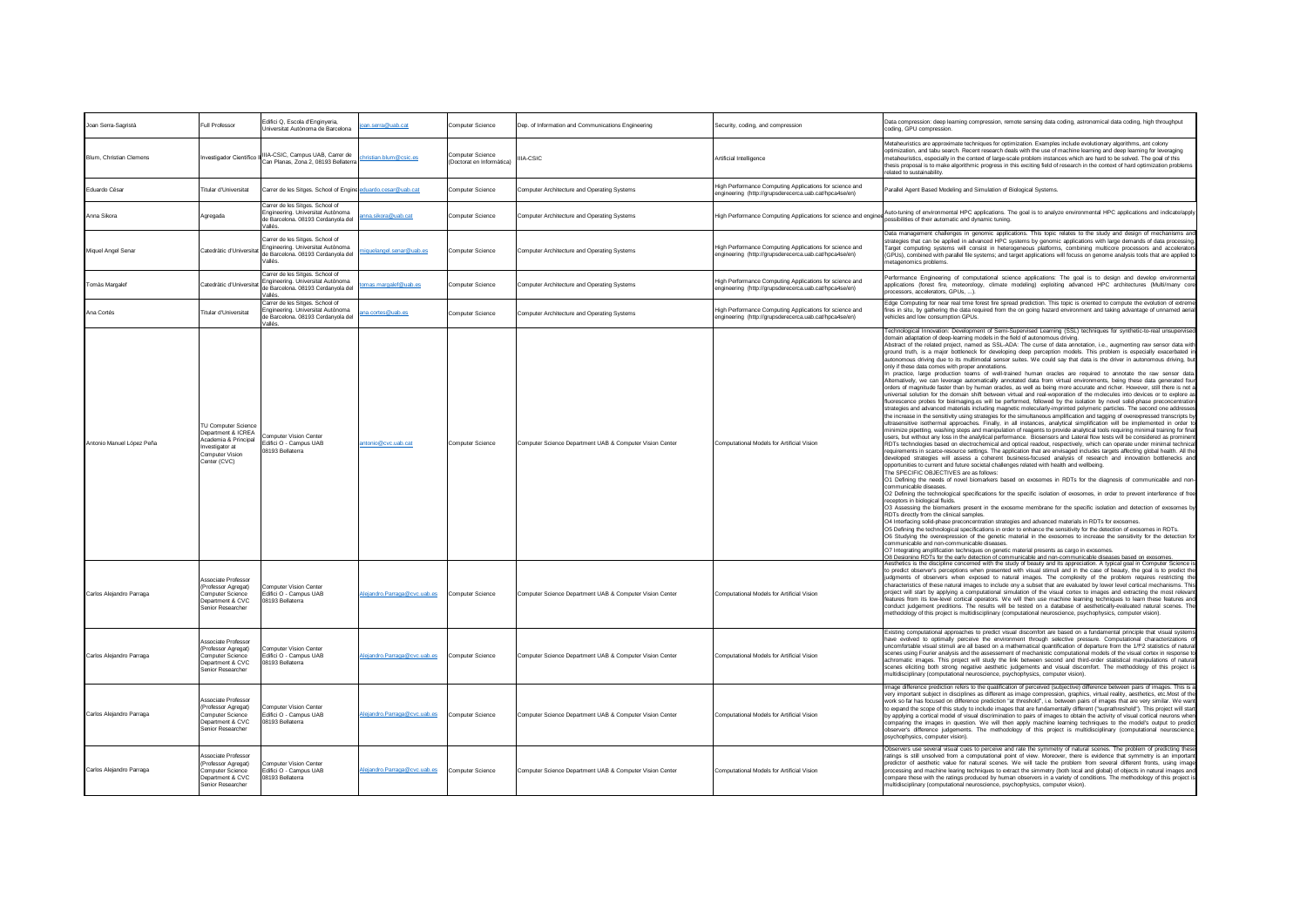| Joan Serra-Sagristà       | Full Professor                                                                                                                 | Edifici Q. Escola d'Enginveria<br>Universitat Autònoma de Barcelona                                                  | pan.serra@uab.cat            | Computer Science                              | Dep. of Information and Communications Engineering       | Security, coding, and compression                                                                                 | Data compression: deep learning compression, remote sensing data coding, astronomical data coding, high throughput<br>coding, GPU compression                                                                                                                                                                                                                                                                                                                                                                                                                                                                                                                                                                                                                                                                                                                                                                                                                                                                                                                                                                                                                                                                                                                                                                                                                                                                                                                                                                                                                                                                                                                                                                                                                                                                                                                                                                                                                                                                                                                                                                                                                                                                                                                                                                                                                                                                                                                                                                                                                                                                                                                                                                                                                                                                                                                                                                                                                                                                                                                                                                                                                                                                                                                                                                                                                                                                                                                                                                                                                                    |
|---------------------------|--------------------------------------------------------------------------------------------------------------------------------|----------------------------------------------------------------------------------------------------------------------|------------------------------|-----------------------------------------------|----------------------------------------------------------|-------------------------------------------------------------------------------------------------------------------|----------------------------------------------------------------------------------------------------------------------------------------------------------------------------------------------------------------------------------------------------------------------------------------------------------------------------------------------------------------------------------------------------------------------------------------------------------------------------------------------------------------------------------------------------------------------------------------------------------------------------------------------------------------------------------------------------------------------------------------------------------------------------------------------------------------------------------------------------------------------------------------------------------------------------------------------------------------------------------------------------------------------------------------------------------------------------------------------------------------------------------------------------------------------------------------------------------------------------------------------------------------------------------------------------------------------------------------------------------------------------------------------------------------------------------------------------------------------------------------------------------------------------------------------------------------------------------------------------------------------------------------------------------------------------------------------------------------------------------------------------------------------------------------------------------------------------------------------------------------------------------------------------------------------------------------------------------------------------------------------------------------------------------------------------------------------------------------------------------------------------------------------------------------------------------------------------------------------------------------------------------------------------------------------------------------------------------------------------------------------------------------------------------------------------------------------------------------------------------------------------------------------------------------------------------------------------------------------------------------------------------------------------------------------------------------------------------------------------------------------------------------------------------------------------------------------------------------------------------------------------------------------------------------------------------------------------------------------------------------------------------------------------------------------------------------------------------------------------------------------------------------------------------------------------------------------------------------------------------------------------------------------------------------------------------------------------------------------------------------------------------------------------------------------------------------------------------------------------------------------------------------------------------------------------------------------------------|
| Blum, Christian Clemens   | Investigador Científico II                                                                                                     | IIIA-CSIC, Campus UAB, Carrer de<br>Can Planas, Zona 2, 08193 Bellaten                                               | hristian.blum@csic.es        | Computer Science<br>(Doctorat en Informàtica) | <b>IIA-CSIC</b>                                          | Artificial Intelligence                                                                                           | Metaheuristics are approximate techniques for optimization. Examples include evolutionary algorithms, ant colony<br>optimization, and tabu search. Recent research deals with the use of machine learning and deep learning for leveraging<br>metaheuristics, especially in the context of large-scale problem instances which are hard to be solved. The goal of this<br>thesis proposal is to make algorithmic progress in this exciting field of research in the context of hard optimization problems<br>related to sustainability.                                                                                                                                                                                                                                                                                                                                                                                                                                                                                                                                                                                                                                                                                                                                                                                                                                                                                                                                                                                                                                                                                                                                                                                                                                                                                                                                                                                                                                                                                                                                                                                                                                                                                                                                                                                                                                                                                                                                                                                                                                                                                                                                                                                                                                                                                                                                                                                                                                                                                                                                                                                                                                                                                                                                                                                                                                                                                                                                                                                                                                          |
| Eduardo César             | Titular d'Universitat                                                                                                          | Carrer de les Sitges. School of Engine eduardo.cesar@uab.cat                                                         |                              | Computer Science                              | Computer Architecture and Operating Systems              | High Performance Computing Applications for science and<br>engineering (http://grupsderecerca.uab.cat/hpca4se/en) | Parallel Agent Based Modeling and Simulation of Biological Systems.                                                                                                                                                                                                                                                                                                                                                                                                                                                                                                                                                                                                                                                                                                                                                                                                                                                                                                                                                                                                                                                                                                                                                                                                                                                                                                                                                                                                                                                                                                                                                                                                                                                                                                                                                                                                                                                                                                                                                                                                                                                                                                                                                                                                                                                                                                                                                                                                                                                                                                                                                                                                                                                                                                                                                                                                                                                                                                                                                                                                                                                                                                                                                                                                                                                                                                                                                                                                                                                                                                              |
| Anna Sikora               | Agregada                                                                                                                       | Carrer de les Sitges. School of<br>Engineering. Universitat Autònoma<br>de Barcelona. 08193 Cerdanyola del<br>/allés | nna.sikora@uab.cat           | Computer Science                              | Computer Architecture and Operating Systems              | High Performance Computing Applications for science and engines                                                   | Auto-tuning of environmental HPC applications. The goal is to analyze environmental HPC applications and indicate/apply<br>possibilities of their automatic and dynamic tuning.                                                                                                                                                                                                                                                                                                                                                                                                                                                                                                                                                                                                                                                                                                                                                                                                                                                                                                                                                                                                                                                                                                                                                                                                                                                                                                                                                                                                                                                                                                                                                                                                                                                                                                                                                                                                                                                                                                                                                                                                                                                                                                                                                                                                                                                                                                                                                                                                                                                                                                                                                                                                                                                                                                                                                                                                                                                                                                                                                                                                                                                                                                                                                                                                                                                                                                                                                                                                  |
| Miquel Angel Senar        | Catedràtic d'Universitat                                                                                                       | Carrer de les Sitges. School of<br>Engineering. Universitat Autònoma<br>de Barcelona. 08193 Cerdanyola del<br>Vallés | iguelangel.senar@uab.es      | Computer Science                              | Computer Architecture and Operating Systems              | High Performance Computing Applications for science and<br>engineering (http://grupsderecerca.uab.cat/hpca4se/en) | Data management challenges in genomic applications. This topic relates to the study and design of mechanisms and<br>strategies that can be applied in advanced HPC systems by genomic applications with large demands of data processing.<br>Target computing systems will consist in heterogeneous platforms, combining multicore processors and accelerators<br>(GPUs), combined with parallel file systems; and target applications will focuss on genome analysis tools that are applied to<br>netagenomics problems.                                                                                                                                                                                                                                                                                                                                                                                                                                                                                                                                                                                                                                                                                                                                                                                                                                                                                                                                                                                                                                                                                                                                                                                                                                                                                                                                                                                                                                                                                                                                                                                                                                                                                                                                                                                                                                                                                                                                                                                                                                                                                                                                                                                                                                                                                                                                                                                                                                                                                                                                                                                                                                                                                                                                                                                                                                                                                                                                                                                                                                                        |
| Tomàs Margalet            | Catedràtic d'Universitat                                                                                                       | Carrer de les Sitges. School of<br>Engineering, Universitat Autònoma<br>de Barcelona. 08193 Cerdanyola del<br>/allés | omas.margalef@uab.es         | Computer Science                              | Computer Architecture and Operating Systems              | High Performance Computing Applications for science and<br>engineering (http://grupsderecerca.uab.cat/hpca4se/en) | Performance Engineering of computational science applications: The goal is to design and develop environmental<br>applications (forest fire, meteorology, climate modeling) exploiting advanced HPC architectures (Multi/many core<br>ocessors, accelerators, GPUs, ).                                                                                                                                                                                                                                                                                                                                                                                                                                                                                                                                                                                                                                                                                                                                                                                                                                                                                                                                                                                                                                                                                                                                                                                                                                                                                                                                                                                                                                                                                                                                                                                                                                                                                                                                                                                                                                                                                                                                                                                                                                                                                                                                                                                                                                                                                                                                                                                                                                                                                                                                                                                                                                                                                                                                                                                                                                                                                                                                                                                                                                                                                                                                                                                                                                                                                                           |
| Ana Cortés                | Titular d'Universita                                                                                                           | Carrer de les Sitges, School of<br>Engineering. Universitat Autònoma<br>de Barcelona. 08193 Cerdanyola del<br>/allés | na.cortes@uab.es             | Computer Science                              | Computer Architecture and Operating Systems              | High Performance Computing Applications for science and<br>engineering (http://grupsderecerca.uab.cat/hpca4se/en) | Edge Computing for pear real time forest fire spread prediction. This topic is oriented to compute the evolution of extreme<br>fires in situ, by gathering the data required from the on going hazard environment and taking advantage of unnamed aerial<br>vehicles and low consumption GPUs.                                                                                                                                                                                                                                                                                                                                                                                                                                                                                                                                                                                                                                                                                                                                                                                                                                                                                                                                                                                                                                                                                                                                                                                                                                                                                                                                                                                                                                                                                                                                                                                                                                                                                                                                                                                                                                                                                                                                                                                                                                                                                                                                                                                                                                                                                                                                                                                                                                                                                                                                                                                                                                                                                                                                                                                                                                                                                                                                                                                                                                                                                                                                                                                                                                                                                   |
| Antonio Manuel López Peña | <b>TU Computer Science</b><br>Department & ICREA<br>Academia & Principal<br>Investigator at<br>Computer Vision<br>Center (CVC) | <b>Iomputer Vision Center</b><br>Edifici O - Campus UAB<br>08193 Bellaterra                                          | antonio@cvc.uab.cat          | Computer Science                              | Computer Science Department UAB & Computer Vision Center | Computational Models for Artificial Vision                                                                        | Technological Innovation: Development of Semi-Supervised Learning (SSL) techniques for synthetic-to-real unsupervised<br>domain adaptation of deep-learning models in the field of autonomous driving.<br>Abstract of the related project, named as SSL-ADA: The curse of data annotation, i.e., augmenting raw sensor data with<br>ground truth, is a major bottleneck for developing deep perception models. This problem is especially exacerbated in<br>autonomous driving due to its multimodal sensor suites. We could say that data is the driver in autonomous driving, but<br>only if these data comes with proper annotations.<br>In practice, large production teams of well-trained human oracles are required to annotate the raw sensor data.<br>Alternatively, we can leverage automatically annotated data from virtual environments, being these data generated four<br>orders of magnitude faster than by human oracles, as well as being more accurate and richer. However, still there is not a<br>universal solution for the domain shift between virtual and real-woporation of the molecules into devices or to explore as<br>fluorescence probes for bioimaging.es will be performed, followed by the isolation by novel solid-phase preconcentration<br>strategies and advanced materials including magnetic molecularly-imprinted polymeric particles. The second one addresses<br>the increase in the sensitivity using strategies for the simultaneous amplification and tagging of overexpressed transcripts by<br>ultrasensitive isothermal approaches. Finally, in all instances, analytical simplification will be implemented in order to<br>minimize pipetting, washing steps and manipulation of reagents to provide analytical tools requiring minimal training for final<br>users, but without any loss in the analytical performance. Biosensors and Lateral flow tests will be considered as prominent<br>RDTs technologies based on electrochemical and optical readout, respectively, which can operate under minimal technical<br>requirements in scarce-resource settings. The application that are envisaged includes targets affecting global health. All the<br>developed strategies will assess a coherent business-focused analysis of research and innovation bottlenecks and<br>opportunities to current and future societal challenges related with health and wellbeing.<br>The SPECIFIC OBJECTIVES are as follows<br>O1 Defining the needs of novel biomarkers based on exosomes in RDTs for the diagnosis of communicable and non-<br>communicable diseases<br>O2 Defining the technological specifications for the specific isolation of exosomes, in order to prevent interference of free<br>receptors in biological fluids<br>O3 Assessing the biomarkers present in the exosome membrane for the specific isolation and detection of exosomes by<br>RDTs directly from the clinical samples.<br>O4 Interfacing solid-phase preconcentration strategies and advanced materials in RDTs for exosomes.<br>O5 Defining the technological specifications in order to enhance the sensitivity for the detection of exosomes in RDTs.<br>O6 Studying the overexpression of the genetic material in the exosomes to increase the sensitivity for the detection for<br>communicable and non-communicable diseases.<br>O7 Integrating amplification techniques on genetic material presents as cargo in exosomes.<br>O8 Designing RDTs for the early detection of communicable and non-communicable diseases based on exosomes. |
| Carlos Alejandro Parraga  | Associate Professor<br>(Professor Agregat)<br><b>Computer Science</b><br>Department & CVC<br>Senior Researcher                 | omputer Vision Center<br>Edifici O - Campus UAB<br>08193 Bellaterra                                                  | Alejandro.Parraga@cvc.uab.es | Computer Science                              | Computer Science Department UAB & Computer Vision Center | Computational Models for Artificial Vision                                                                        | Aesthetics is the discipline concerned with the study of beauty and its appreciation. A typical goal in Computer Science is<br>to predict observer's perceptions when presented with visual stimuli and in the case of beauty, the goal is to predict the<br>judgments of observers when exposed to natural images. The complexity of the problem requires restricting the<br>characteristics of these natural images to include ony a subset that are evaluated by lower level cortical mechanisms. This<br>project will start by applying a computational simulation of the visual cortex to images and extracting the most relevant<br>features from its low-level cortical operators. We will then use machine learning techniques to learn these features and<br>conduct judgement preditions. The results will be tested on a database of aesthetically-evaluated natural scenes. The<br>ethodology of this project is multidisciplinary (computational neuroscience, psychophysics, computer vision).                                                                                                                                                                                                                                                                                                                                                                                                                                                                                                                                                                                                                                                                                                                                                                                                                                                                                                                                                                                                                                                                                                                                                                                                                                                                                                                                                                                                                                                                                                                                                                                                                                                                                                                                                                                                                                                                                                                                                                                                                                                                                                                                                                                                                                                                                                                                                                                                                                                                                                                                                                     |
| Carlos Alejandro Parraga  | Associate Professor<br>(Professor Agregat)<br>Computer Science<br>Department & CVC<br>Senior Researcher                        | Computer Vision Center<br>Edifici O - Campus UAB<br>08193 Bellaterra                                                 | Neiandro, Parraga@cvc.uab.es | Computer Science                              | Computer Science Department UAB & Computer Vision Center | Computational Models for Artificial Vision                                                                        | Existing computational approaches to predict visual discomfort are based on a fundamental principle that visual systems<br>have evolved to optimally perceive the environment through selective pressure. Computational characterizations of<br>uncomfortable visual stimuli are all based on a mathematical quantification of departure from the 1/f^2 statistics of natural<br>scenes using Fourier analysis and the assessement of mechanistic computational models of the visual cortex in response to<br>achromatic images. This project will study the link between second and third-order statistical manipulations of natural<br>scenes eliciting both strong negative aesthetic judgements and visual discomfort. The methodology of this project is<br>multidisciplinary (computational neuroscience, psychophysics, computer vision).                                                                                                                                                                                                                                                                                                                                                                                                                                                                                                                                                                                                                                                                                                                                                                                                                                                                                                                                                                                                                                                                                                                                                                                                                                                                                                                                                                                                                                                                                                                                                                                                                                                                                                                                                                                                                                                                                                                                                                                                                                                                                                                                                                                                                                                                                                                                                                                                                                                                                                                                                                                                                                                                                                                                 |
| Carlos Alejandro Parraga  | Associate Professor<br>(Professor Agregat)<br>Computer Science<br>Department & CVC<br>Senior Researcher                        | Computer Vision Center<br>Edifici O - Campus UAB<br>08193 Bellaterra                                                 | lejandro.Parraga@cvc.uab.es  | Computer Science                              | Computer Science Department UAB & Computer Vision Center | Computational Models for Artificial Vision                                                                        | Image difference prediction refers to the quatification of perceived (subjective) difference between pairs of images. This is a<br>very important subject in disciplines as different as image compression, graphics, virtual reality, aesthetics, etc.Most of the<br>work so far has focused on difference prediction "at threshold", i.e. between pairs of images that are very similar. We want<br>to expand the scope of this study to include images that are fundamentally different ("suprathreshold"). This project will start<br>by applying a cortical model of visual discrimination to pairs of images to obtain the activity of visual cortical neurons when<br>comparing the images in question. We will then apply machine learning techniques to the model's output to predict<br>observer's difference judgements. The methodology of this project is multidisciplinary (computational neuroscience,<br>psychophysics, computer vision).                                                                                                                                                                                                                                                                                                                                                                                                                                                                                                                                                                                                                                                                                                                                                                                                                                                                                                                                                                                                                                                                                                                                                                                                                                                                                                                                                                                                                                                                                                                                                                                                                                                                                                                                                                                                                                                                                                                                                                                                                                                                                                                                                                                                                                                                                                                                                                                                                                                                                                                                                                                                                        |
| Carlos Aleiandro Parraga  | Associate Professor<br>(Professor Agregat)<br>Computer Science<br>Department & CVC<br>Senior Researcher                        | <b>Computer Vision Center</b><br>Fdifici O - Campus UAB<br>08193 Bellaterra                                          | Jeiandro, Parraga@cvc.uab.es | Computer Science                              | Computer Science Department UAB & Computer Vision Center | Computational Models for Artificial Vision                                                                        | Observers use several visual cues to perceive and rate the symmetry of natural scenes. The problem of predicting these<br>ratings is still unsolved from a computational point of view. Moreover, there is evidence that symmetry is an important<br>predictor of aesthetic value for natural scenes. We will tacle the problem from several different fronts, using image<br>processing and machine learing techniques to extract the simmetry (both local and global) of objects in natural images and<br>compare these with the ratings produced by human observers in a variety of conditions. The methodology of this project is<br>multidisciplinary (computational neuroscience, psychophysics, computer vision).                                                                                                                                                                                                                                                                                                                                                                                                                                                                                                                                                                                                                                                                                                                                                                                                                                                                                                                                                                                                                                                                                                                                                                                                                                                                                                                                                                                                                                                                                                                                                                                                                                                                                                                                                                                                                                                                                                                                                                                                                                                                                                                                                                                                                                                                                                                                                                                                                                                                                                                                                                                                                                                                                                                                                                                                                                                         |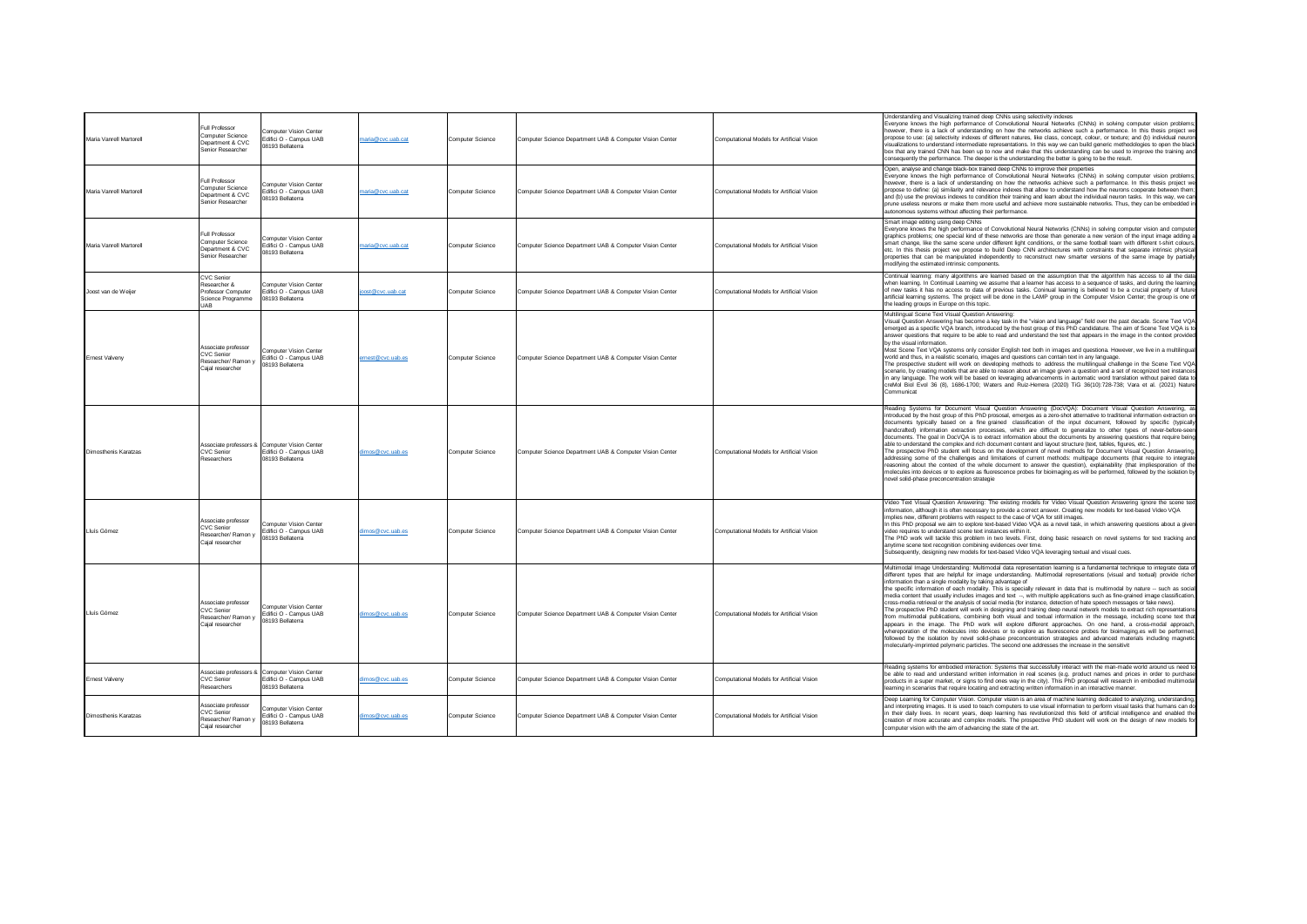| Maria Vanrell Martorell | Full Professor<br>Computer Science<br>Department & CVC<br>Senior Researche                 | Computer Vision Center<br>Edifici O - Campus UAB<br>08193 Bellaterra                        | naria@cvc.uab.cat | Computer Science | Computer Science Department UAB & Computer Vision Center | Computational Models for Artificial Vision | Understanding and Visualizing trained deep CNNs using selectivity indexes<br>Everyone knows the high performance of Convolutional Neural Networks (CNNs) in solving computer vision problems;<br>however, there is a lack of understanding on how the networks achieve such a performance. In this thesis project we<br>propose to use: (a) selectivity indexes of different natures, like class, concept, colour, or texture; and (b) individual neuron<br>visualizations to understand intermediate representations. In this way we can build generic methodologies to open the black<br>box that any trained CNN has been up to now and make that this understanding can be used to improve the training and<br>consequently the performance. The deeper is the understanding the better is going to be the result.                                                                                                                                                                                                                                                                                                                                                                                                                                                                                                                                                                                                                 |
|-------------------------|--------------------------------------------------------------------------------------------|---------------------------------------------------------------------------------------------|-------------------|------------------|----------------------------------------------------------|--------------------------------------------|----------------------------------------------------------------------------------------------------------------------------------------------------------------------------------------------------------------------------------------------------------------------------------------------------------------------------------------------------------------------------------------------------------------------------------------------------------------------------------------------------------------------------------------------------------------------------------------------------------------------------------------------------------------------------------------------------------------------------------------------------------------------------------------------------------------------------------------------------------------------------------------------------------------------------------------------------------------------------------------------------------------------------------------------------------------------------------------------------------------------------------------------------------------------------------------------------------------------------------------------------------------------------------------------------------------------------------------------------------------------------------------------------------------------------------------|
| Maria Vanrell Martorell | Full Professor<br><b>Computer Science</b><br>Department & CVC<br>Senior Researcher         | Computer Vision Center<br>Edifici O - Campus UAB<br>08193 Bellaterra                        | naria@cvc.uab.cat | Computer Science | Computer Science Department UAB & Computer Vision Center | Computational Models for Artificial Vision | Open, analyse and change black-box trained deep CNNs to improve their properties<br>Everyone knows the high performance of Convolutional Neural Networks (CNNs) in solving computer vision problems;<br>however, there is a lack of understanding on how the networks achieve such a performance. In this thesis project we<br>propose to define: (a) similarity and relevance indexes that allow to understand how the neurons cooperate between them;<br>and (b) use the previous indexes to condition their training and learn about the individual neuron tasks. In this way, we can<br>prune useless neurons or make them more useful and achieve more sustainable networks. Thus, they can be embedded in<br>autonomous systems without affecting their performance.                                                                                                                                                                                                                                                                                                                                                                                                                                                                                                                                                                                                                                                             |
| Maria Vanrell Martorel  | Full Professor<br><b>Computer Science</b><br>Department & CVC<br>Senior Researcher         | Computer Vision Center<br>Edifici O - Campus UAB<br>08193 Bellaterra                        | naria@cvc.uab.cat | Computer Science | Computer Science Department UAB & Computer Vision Center | Computational Models for Artificial Vision | Smart image editing using deep CNNs<br>Everyone knows the high performance of Convolutional Neural Networks (CNNs) in solving computer vision and computer<br>graphics problems; one special kind of these networks are those than generate a new version of the input image adding a<br>smart change, like the same scene under different light conditions, or the same football team with different t-shirt colours,<br>etc. In this thesis project we propose to build Deep CNN architectures with constraints that separate intrinsic physical<br>properties that can be manipulated independently to reconstruct new smarter versions of the same image by partially<br>modifying the estimated intrinsic components.                                                                                                                                                                                                                                                                                                                                                                                                                                                                                                                                                                                                                                                                                                             |
| Joost van de Weijer     | <b>CVC Senior</b><br>Researcher &<br>Professor Computer<br>Science Programme<br><b>UAR</b> | Computer Vision Center<br>Edifici O - Campus UAB<br>08193 Bellaterra                        | post@cvc.uab.cat  | Computer Science | Computer Science Department UAB & Computer Vision Center | Computational Models for Artificial Vision | Continual learning: many algorithms are learned based on the assumption that the algorithm has access to all the data<br>when learning. In Continual Learning we assume that a learner has access to a sequence of tasks, and during the learning<br>of new tasks it has no access to data of previous tasks. Coninual learning is believed to be a crucial property of future<br>artificial learning systems. The project will be done in the LAMP group in the Computer Vision Center; the group is one of<br>the leading groups in Europe on this topic.                                                                                                                                                                                                                                                                                                                                                                                                                                                                                                                                                                                                                                                                                                                                                                                                                                                                            |
| Ernest Valvenv          | Associate professor<br><b>CVC Senior</b><br>Researcher/ Ramon y<br>Caial researcher        | Computer Vision Center<br>Edifici O - Campus UAB<br>08193 Bellaterra                        | ernest@cvc.uab.es | Computer Science | Computer Science Department UAB & Computer Vision Center |                                            | Multilingual Scene Text Visual Question Answering:<br>Visual Question Answering has become a key task in the "vision and language" field over the past decade. Scene Text VQA<br>emerged as a specific VQA branch, introduced by the host group of this PhD candidature. The aim of Scene Text VQA is to<br>answer questions that require to be able to read and understand the text that appears in the image in the context provided<br>by the visual information.<br>Most Scene Text VQA systems only consider English text both in images and questiona. However, we live in a multilingual<br>world and thus, in a realistic scenario, images and questions can contain text in any language.<br>The prospective student will work on developing methods to address the multilingual challenge in the Scene Text VQA<br>scenario, by creating models that are able to reason about an image given a question and a set of recognized text instances<br>in any language. The work will be based on leveraging advancements in automatic word translation without paired data to<br>creMol Biol Evol 36 (8), 1686-1700; Waters and Ruiz-Herrera (2020) TiG 36(10):728-738; Vara et al. (2021) Nature<br>Communicat                                                                                                                                                                                                                  |
| Dimosthenis Karatzas    | CVC Senior<br>Researchers                                                                  | Associate professors & Computer Vision Center<br>Edifici O - Campus UAB<br>08193 Bellaterra | limos@cvc.uab.es  | Computer Science | Computer Science Department UAB & Computer Vision Center | Computational Models for Artificial Vision | Reading Systems for Document Visual Question Answering (DocVQA): Document Visual Question Answering, as<br>introduced by the host group of this PhD prososal, emerges as a zero-shot atternative to traditional information extraction on<br>documents typically based on a fine-grained classification of the input document, followed by specific (typically<br>handcrafted) information extraction processes, which are difficult to generalize to other types of never-before-seen<br>documents. The goal in DocVQA is to extract information about the documents by answering questions that require being<br>able to understand the complex and rich document content and layout structure (text, tables, figures, etc.)<br>The prospective PhD student will focus on the development of novel methods for Document Visual Question Answering,<br>addressing some of the challenges and limitations of current methods: multipage documents (that require to integrate<br>reasoning about the context of the whole document to answer the question), explainability (that impliesporation of the<br>molecules into devices or to explore as fluorescence probes for bioimaging.es will be performed, followed by the isolation by<br>novel solid-phase preconcentration strategie                                                                                                                                                |
| Lluís Gómez             | Associate professor<br><b>CVC Senior</b><br>Researcher/ Ramon v<br>Caial researcher        | Computer Vision Center<br>Fdifici O - Campus UAB<br>08193 Bellaterra                        | limos@cvc.uab.es  | Computer Science | Computer Science Department UAB & Computer Vision Center | Computational Models for Artificial Vision | Video Text Visual Question Answering: The existing models for Video Visual Question Answering ignore the scene text<br>information, although it is often necessary to provide a correct answer. Creating new models for text-based Video VQA<br>implies new, different problems with respect to the case of VQA for still images<br>In this PhD proposal we aim to explore text-based Video VQA as a novel task, in which answering questions about a given<br>video requires to understand scene text instances within it.<br>The PhD work will tackle this problem in two levels. First, doing basic research on novel systems for text tracking and<br>anytime scene text recognition combining evidences over time.<br>Subsequently, designing new models for text-based Video VQA leveraging textual and visual cues.                                                                                                                                                                                                                                                                                                                                                                                                                                                                                                                                                                                                             |
| Lluís Gómez             | Associate professor<br>CVC Senior<br>Researcher/ Ramon y<br>Cajal researcher               | Computer Vision Center<br>Edifici O - Campus UAB<br>08193 Bellaterra                        | limos@cvc.uab.es  | Computer Science | Computer Science Department UAB & Computer Vision Center | Computational Models for Artificial Vision | Multimodal Image Understanding: Multimodal data representation learning is a fundamental technique to integrate data of<br>different types that are helpful for image understanding. Multimodal representations (visual and textual) provide richer<br>information than a single modality by taking advantage of<br>the specific information of each modality. This is specially relevant in data that is multimodal by nature -- such as social<br>media content that usually includes images and text --, with multiple applications such as fine-grained image classification,<br>cross-media retrieval or the analysis of social media (for instance, detection of hate speech messages or fake news).<br>The prospective PhD student will work in designing and training deep neural network models to extract rich representations<br>from multimodal publications, combining both visual and textual information in the message, including scene text that<br>appears in the image. The PhD work will explore different approaches. On one hand, a cross-modal approach,<br>whereporation of the molecules into devices or to explore as fluorescence probes for bioimaging.es will be performed,<br>followed by the isolation by novel solid-phase preconcentration strategies and advanced materials including magnetic<br>molecularly-imprinted polymeric particles. The second one addresses the increase in the sensitivit |
| Ernest Valveny          | <b>CVC Senior</b><br>Researchers                                                           | Associate professors & Computer Vision Center<br>Edifici O - Campus UAB<br>08193 Bellaterra | limos@cvc.uab.es  | Computer Science | Computer Science Department UAB & Computer Vision Center | Computational Models for Artificial Vision | Reading systems for embodied interaction: Systems that successfully interact with the man-made world around us need to<br>be able to read and understand written information in real scenes (e.g. product names and prices in order to purchase<br>products in a super market, or signs to find ones way in the city). This PhD proposal will research in embodied multimodal<br>learning in scenarios that require locating and extracting written information in an interactive manner.                                                                                                                                                                                                                                                                                                                                                                                                                                                                                                                                                                                                                                                                                                                                                                                                                                                                                                                                              |
| Dimosthenis Karatzas    | Associate professor<br><b>CVC Senior</b><br>Researcher/ Ramon y<br>Cajal researcher        | Computer Vision Center<br>Edifici O - Campus UAB<br>08193 Bellaterra                        | dimos@cvc.uab.es  | Computer Science | Computer Science Department UAB & Computer Vision Center | Computational Models for Artificial Vision | Deep Learning for Computer Vision. Computer vision is an area of machine learning dedicated to analyzing, understanding,<br>and interpreting images. It is used to teach computers to use visual information to perform visual tasks that humans can do<br>in their daily lives. In recent years, deep learning has revolutionized this field of artificial intelligence and enabled the<br>creation of more accurate and complex models. The prospective PhD student will work on the design of new models for<br>computer vision with the aim of advancing the state of the art.                                                                                                                                                                                                                                                                                                                                                                                                                                                                                                                                                                                                                                                                                                                                                                                                                                                     |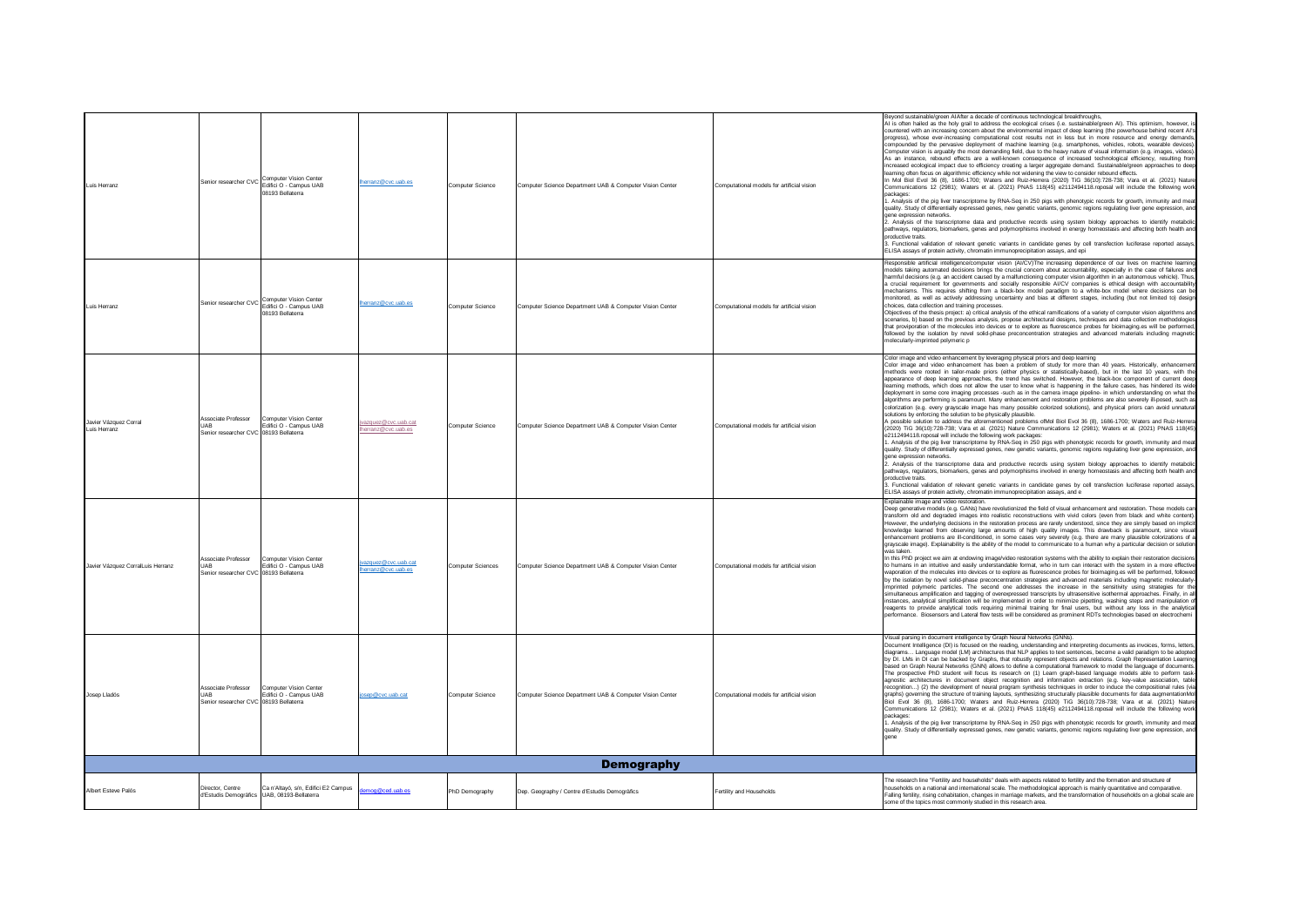| Luis Herranz                          |                                                                             | Senior researcher CVC Computer Vision Center<br>08193 Bellaterra                           | nerranz@cvc.uab.es                       | Computer Science  | Computer Science Department UAB & Computer Vision Center | Computational models for artificial vision | Beyond sustainable/green AIAfter a decade of continuous technological breakthroughs,<br>AI is often hailed as the holy grail to address the ecological crises (i.e. sustainable/green AI). This optimism, however, i<br>countered with an increasing concern about the environmental impact of deep learning (the powerhouse behind recent AI's<br>progress), whose ever-increasing computational cost results not in less but in more resource and energy demands,<br>compounded by the pervasive deployment of machine learning (e.g. smartphones, vehicles, robots, wearable devices).<br>Computer vision is arguably the most demanding field, due to the heavy nature of visual information (e.g. images, videos).<br>As an instance, rebound effects are a well-known consequence of increased technological efficiency, resulting from<br>increased ecological impact due to efficiency creating a larger aggregate demand. Sustainable/green approaches to deep<br>learning often focus on algorithmic efficiency while not widening the view to consider rebound effects.<br>In Mol Biol Evol 36 (8), 1686-1700; Waters and Ruiz-Herrera (2020) TiG 36(10):728-738; Vara et al. (2021) Nature<br>Communications 12 (2981); Waters et al. (2021) PNAS 118(45) e2112494118.roposal will include the following work<br>packages<br>1. Analysis of the pig liver transcriptome by RNA-Seq in 250 pigs with phenotypic records for growth, immunity and meat<br>quality. Study of differentially expressed genes, new genetic variants, genomic regions regulating liver gene expression, and<br>gene expression networks.<br>2. Analysis of the transcriptome data and productive records using system biology approaches to identify metabolic<br>pathways, regulators, biomarkers, genes and polymorphisms involved in energy homeostasis and affecting both health and<br>productive traits.<br>3. Functional validation of relevant genetic variants in candidate genes by cell transfection luciferase reported assays,<br>ELISA assays of protein activity, chromatin immunoprecipitation assays, and epi |
|---------------------------------------|-----------------------------------------------------------------------------|--------------------------------------------------------------------------------------------|------------------------------------------|-------------------|----------------------------------------------------------|--------------------------------------------|----------------------------------------------------------------------------------------------------------------------------------------------------------------------------------------------------------------------------------------------------------------------------------------------------------------------------------------------------------------------------------------------------------------------------------------------------------------------------------------------------------------------------------------------------------------------------------------------------------------------------------------------------------------------------------------------------------------------------------------------------------------------------------------------------------------------------------------------------------------------------------------------------------------------------------------------------------------------------------------------------------------------------------------------------------------------------------------------------------------------------------------------------------------------------------------------------------------------------------------------------------------------------------------------------------------------------------------------------------------------------------------------------------------------------------------------------------------------------------------------------------------------------------------------------------------------------------------------------------------------------------------------------------------------------------------------------------------------------------------------------------------------------------------------------------------------------------------------------------------------------------------------------------------------------------------------------------------------------------------------------------------------------------------------------------------------------------------------------------------------|
| Luis Herranz                          |                                                                             | Senior researcher CVC Computer Vision Center<br>Edifici O - Campus UAB<br>08193 Bellaterra | erranz@cvc.uab.es                        | Computer Science  | Computer Science Department UAB & Computer Vision Center | Computational models for artificial vision | Responsible artificial intelligence/computer vision (AI/CV)The increasing dependence of our lives on machine learning<br>models taking automated decisions brings the crucial concern about accountability, especially in the case of failures and<br>harmful decisions (e.g. an accident caused by a malfunctioning computer vision algorithm in an autonomous vehicle). Thus,<br>a crucial requirement for governments and socially responsible AI/CV companies is ethical design with accountability<br>mechanisms. This requires shifting from a black-box model paradigm to a white-box model where decisions can be<br>monitored, as well as actively addressing uncertainty and bias at different stages, including (but not limited to) design<br>choices, data collection and training processes.<br>Objectives of the thesis project: a) critical analysis of the ethical ramifications of a variety of computer vision algorithms and<br>scenarios, b) based on the previous analysis, propose architectural designs, techniques and data collection methodologies<br>that proviporation of the molecules into devices or to explore as fluorescence probes for bioimaging.es will be performed.<br>followed by the isolation by novel solid-phase preconcentration strategies and advanced materials including magnetic<br>molecularly-imprinted polymeric p                                                                                                                                                                                                                                                                                                                                                                                                                                                                                                                                                                                                                                                                                                                                             |
| Javier Vázquez Corral<br>Luis Herranz | Associate Professor<br>Senior researcher CVC 08193 Bellaterra               | Computer Vision Center<br>Edifici O - Campus UAB                                           | vazquez@cvc.uab.cat<br>erranz@cvc.uab.es | Computer Science  | Computer Science Department UAB & Computer Vision Center | Computational models for artificial vision | Color image and video enhancement by leveraging physical priors and deep learning<br>Color image and video enhancement has been a problem of study for more than 40 years. Historically, enhancement<br>methods were rooted in tailor-made priors (either physics or statistically-based), but in the last 10 years, with the<br>appearance of deep learning approaches, the trend has switched. However, the black-box component of current deep<br>learning methods, which does not allow the user to know what is happening in the failure cases, has hindered its wide<br>deployment in some core imaging processes -such as in the camera image pipeline- in which understanding on what the<br>algorithms are performing is paramount. Many enhancement and restoration problems are also severely ill-posed, such as<br>colorization (e.g. every grayscale image has many possible colorized solutions), and physical priors can avoid unnatural<br>solutions by enforcing the solution to be physically plausible.<br>A possible solution to address the aforementioned problems ofMol Biol Evol 36 (8), 1686-1700; Waters and Ruiz-Herrera<br>(2020) TiG 36(10):728-738; Vara et al. (2021) Nature Communications 12 (2981); Waters et al. (2021) PNAS 118(45)<br>e2112494118.roposal will include the following work packages:<br>1. Analysis of the pig liver transcriptome by RNA-Seq in 250 pigs with phenotypic records for growth, immunity and meat<br>quality. Study of differentially expressed genes, new genetic variants, genomic regions regulating liver gene expression, and<br>gene expression networks.<br>2. Analysis of the transcriptome data and productive records using system biology approaches to identify metabolic<br>pathways, regulators, biomarkers, genes and polymorphisms involved in energy homeostasis and affecting both health and<br>productive traits<br>3. Functional validation of relevant genetic variants in candidate genes by cell transfection luciferase reported assays.<br>ELISA assays of protein activity, chromatin immunoprecipitation assays, and e |
| Javier Vázquez CorralLuis Herranz     | Associate Professo<br><b>UAB</b><br>Senior researcher CVC 08193 Bellaterra  | <b>Computer Vision Center</b><br>Edifici O - Campus UAB                                    | azquez@cvc.uab.cat<br>erranz@cvc.uab.es  | Computer Sciences | Computer Science Department UAB & Computer Vision Center | Computational models for artificial vision | Explainable image and video restoration<br>Deep generative models (e.g. GANs) have revolutionized the field of visual enhancement and restoration. These models can<br>transform old and degraded images into realistic reconstructions with vivid colors (even from black and white content).<br>However, the underlying decisions in the restoration process are rarely understood, since they are simply based on implicit<br>knowledge learned from observing large amounts of high quality images. This drawback is paramount, since visual<br>enhancement problems are ill-conditioned, in some cases very severely (e.g. there are many plausible colorizations of a<br>grayscale image). Explainability is the ability of the model to communicate to a human why a particular decision or solution<br>was taken<br>In this PhD project we aim at endowing image/video restoration systems with the ability to explain their restoration decisions<br>to humans in an intuitive and easily understandable format, who in turn can interact with the system in a more effective<br>waporation of the molecules into devices or to explore as fluorescence probes for bioimaging.es will be performed, followed<br>by the isolation by novel solid-phase preconcentration strategies and advanced materials including magnetic molecularly-<br>imprinted polymeric particles. The second one addresses the increase in the sensitivity using strategies for the<br>simultaneous amplification and tagging of overexpressed transcripts by ultrasensitive isothermal approaches. Finally, in all<br>instances, analytical simplification will be implemented in order to minimize pipetting, washing steps and manipulation of<br>reagents to provide analytical tools requiring minimal training for final users, but without any loss in the analytical<br>performance. Biosensors and Lateral flow tests will be considered as prominent RDTs technologies based on electrochemi                                                                                                                             |
| Josep Lladós                          | Associate Professor<br><b>UAB</b><br>Senior researcher CVC 08193 Bellaterra | Computer Vision Center<br>Edifici O - Campus UAB                                           | sep@cvc.uab.cat                          | Computer Science  | Computer Science Department UAB & Computer Vision Center | Computational models for artificial vision | Visual parsing in document intelligence by Graph Neural Networks (GNNs).<br>Document Intelligence (DI) is focused on the reading, understanding and interpreting documents as invoices, forms, letters,<br>diagrams Language model (LM) architectures that NLP applies to text sentences, become a valid paradigm to be adopted<br>by DI. LMs in DI can be backed by Graphs, that robustly represent objects and relations. Graph Representation Learning<br>based on Graph Neural Networks (GNN) allows to define a computational framework to model the language of documents.<br>The prospective PhD student will focus its research on (1) Learn graph-based language models able to perform task-<br>agnostic architectures in document object recognition and information extraction (e.g. key-value association, table<br>recognition) (2) the development of neural program synthesis techniques in order to induce the compositional rules (via<br>graphs) governing the structure of training layouts, synthesizing structurally plausible documents for data augmentationMol<br>.<br>Biol Evol 36 (8), 1686-1700; Waters and Ruiz-Herrera (2020) TiG 36(10):728-738; Vara et al. (2021) Nature<br>Communications 12 (2981); Waters et al. (2021) PNAS 118(45) e2112494118.roposal will include the following work<br>packages:<br>1. Analysis of the pig liver transcriptome by RNA-Seq in 250 pigs with phenotypic records for growth, immunity and meat<br>quality. Study of differentially expressed genes, new genetic variants, genomic regions regulating liver gene expression, and                                                                                                                                                                                                                                                                                                                                                                                                                                                                                                                |
|                                       |                                                                             |                                                                                            |                                          |                   | <b>Demography</b>                                        |                                            |                                                                                                                                                                                                                                                                                                                                                                                                                                                                                                                                                                                                                                                                                                                                                                                                                                                                                                                                                                                                                                                                                                                                                                                                                                                                                                                                                                                                                                                                                                                                                                                                                                                                                                                                                                                                                                                                                                                                                                                                                                                                                                                      |
| Albert Esteve Palós                   | Director, Centre<br>d'Estudis Demogràfics                                   | Ca n'Altayó, s/n, Edifici E2 Campus<br>UAB, 08193-Bellaterra                               | mog@ced.uab.es                           | PhD Demography    | Dep. Geography / Centre d'Estudis Demogràfics            | Fertility and Households                   | The research line "Fertility and households" deals with aspects related to fertility and the formation and structure of<br>households on a national and international scale. The methodological approach is mainly quantitative and comparative.<br>Falling fertility, rising cohabitation, changes in marriage markets, and the transformation of households on a global scale are<br>some of the topics most commonly studied in this research area.                                                                                                                                                                                                                                                                                                                                                                                                                                                                                                                                                                                                                                                                                                                                                                                                                                                                                                                                                                                                                                                                                                                                                                                                                                                                                                                                                                                                                                                                                                                                                                                                                                                               |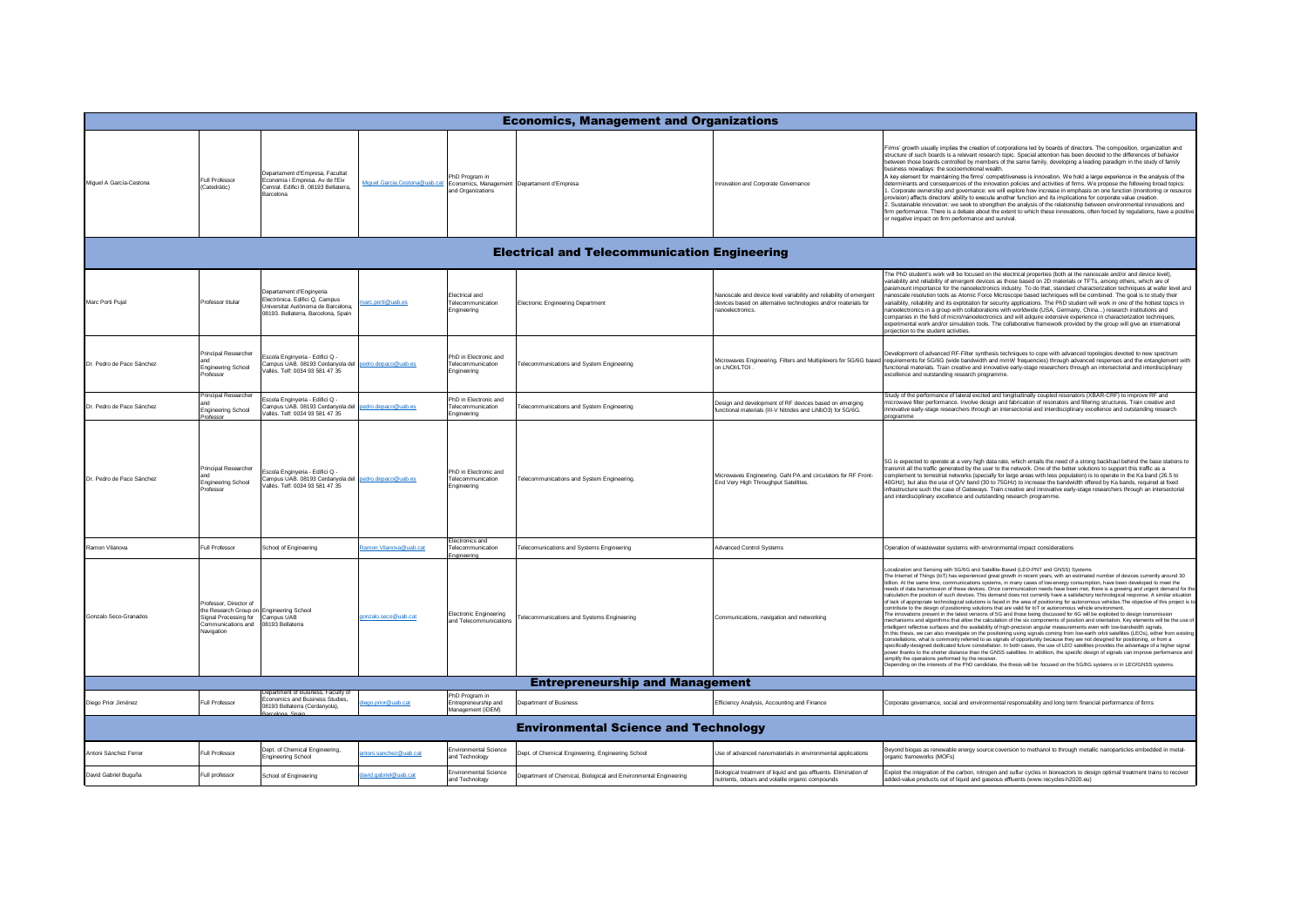| <b>Economics, Management and Organizations</b>      |                                                                                                                                                             |                                                                                                                                         |                              |                                                                   |                                                                  |                                                                                                                                                         |                                                                                                                                                                                                                                                                                                                                                                                                                                                                                                                                                                                                                                                                                                                                                                                                                                                                                                                                                                                                                                                                                                                                                                                                                                                                                                                                                                                                                                                                                                                                                                                                                                                                                                                                                                                                                                                                                                                                                                                                                                                                               |  |  |  |
|-----------------------------------------------------|-------------------------------------------------------------------------------------------------------------------------------------------------------------|-----------------------------------------------------------------------------------------------------------------------------------------|------------------------------|-------------------------------------------------------------------|------------------------------------------------------------------|---------------------------------------------------------------------------------------------------------------------------------------------------------|-------------------------------------------------------------------------------------------------------------------------------------------------------------------------------------------------------------------------------------------------------------------------------------------------------------------------------------------------------------------------------------------------------------------------------------------------------------------------------------------------------------------------------------------------------------------------------------------------------------------------------------------------------------------------------------------------------------------------------------------------------------------------------------------------------------------------------------------------------------------------------------------------------------------------------------------------------------------------------------------------------------------------------------------------------------------------------------------------------------------------------------------------------------------------------------------------------------------------------------------------------------------------------------------------------------------------------------------------------------------------------------------------------------------------------------------------------------------------------------------------------------------------------------------------------------------------------------------------------------------------------------------------------------------------------------------------------------------------------------------------------------------------------------------------------------------------------------------------------------------------------------------------------------------------------------------------------------------------------------------------------------------------------------------------------------------------------|--|--|--|
| Miguel A García-Cestona                             | Full Professor<br>(Catedràtic)                                                                                                                              | Departament d'Empresa, Facultat<br>Economia i Empresa Av de l'Eix<br>Central, Edifici B. 08193 Bellaterra<br>Barcelona                  | Miquel.Garcia.Cestona@uab.ca | PhD Program in<br>Economics, Management<br>and Organizations      | Departament d'Empresa                                            | Innovation and Corporate Governance                                                                                                                     | Firms' growth usually implies the creation of corporations led by boards of directors. The composition, organization and<br>structure of such boards is a relevant research topic. Special attention has been devoted to the differences of behavior<br>between those boards controlled by members of the same family, developing a leading paradigm in the study of family<br>business nowadays: the socioemotional wealth.<br>A key element for maintaining the firms' competitiveness is innovation. We hold a large experience in the analysis of the<br>terminants and consequences of the innovation policies and activities of firms. We propose the following broad topics:<br>1. Corporate ownership and governance: we will explore how increase in emphasis on one function (monitoring or resource<br>provision) affects directors' ability to execute another function and its implications for corporate value creation.<br>2. Sustainable innovation: we seek to strengthen the analysis of the relationship between environmental innovations and<br>firm performance. There is a debate about the extent to which these innovations, often forced by regulations, have a positive<br>or negative impact on firm performance and survival.                                                                                                                                                                                                                                                                                                                                                                                                                                                                                                                                                                                                                                                                                                                                                                                                                    |  |  |  |
| <b>Electrical and Telecommunication Engineering</b> |                                                                                                                                                             |                                                                                                                                         |                              |                                                                   |                                                                  |                                                                                                                                                         |                                                                                                                                                                                                                                                                                                                                                                                                                                                                                                                                                                                                                                                                                                                                                                                                                                                                                                                                                                                                                                                                                                                                                                                                                                                                                                                                                                                                                                                                                                                                                                                                                                                                                                                                                                                                                                                                                                                                                                                                                                                                               |  |  |  |
| Marc Porti Pujal                                    | Professor titular                                                                                                                                           | Departament d'Enginyeria<br>Electrònica. Edifici Q, Campus<br>Jniversitat Autònoma de Barcelona,<br>08193. Bellaterra, Barcelona, Spain | arc.porti@uab.es             | Flectrical and<br><b>Felecommunication</b><br>Engineering         | <b>Electronic Engineering Department</b>                         | Nanoscale and device level variability and reliability of emergent<br>devices based on alternative technologies and/or materials for<br>nannelectronics | The PhD student's work will be focused on the electrical properties (both at the nanoscale and/or and device level),<br>rariability and reliability of emergent devices as those based on 2D materials or TFTs, among others, which are of<br>aramount importance for the nanoelectronics industry. To do that, standard characterization techniques at wafer level and<br>nanoscale resolution tools as Atomic Force Microscope based techniques will be combined. The goal is to study their<br>variaiblity, reliability and its explotation for security applications. The PhD student will work in one of the hottest topics in<br>nanoelectronics in a group with collaborations with worldwide (USA, Germany, China) research institutions and<br>companies in the field of micro/nanoelectronics and will adquire extensive experience in characterization techniques,<br>experimental work and/or simulation tools. The collaborative framework provided by the group will give an international<br>projection to the student activities.                                                                                                                                                                                                                                                                                                                                                                                                                                                                                                                                                                                                                                                                                                                                                                                                                                                                                                                                                                                                                             |  |  |  |
| Dr. Pedro de Paco Sánchez                           | Principal Researcher<br><b>Engineering School</b><br>Professor                                                                                              | scola Enginyeria - Edifici Q -<br>Campus UAB. 08193 Cerdanyola del pedro.depaco@uab.es<br>Vallès, Telf: 0034 93 581 47 35               |                              | PhD in Electronic and<br>Telecommunication<br>Engineering         | <b>Telecommunications and System Engineering</b>                 | Microwaves Engineering. Filters and Multiplexers for 5G/6G based<br>on LNOI/LTOI                                                                        | Development of advanced RF-Filter synthesis techniques to cope with advanced topologies devoted to new spectrum<br>requirements for 5G/6G (wide bandwidth and mmW frequencies) through advanced responses and the entanglement with<br>functional materials. Train creative and innovative early-stage researchers through an intersectorial and interdisciplinary<br>excellence and outstanding research programme.                                                                                                                                                                                                                                                                                                                                                                                                                                                                                                                                                                                                                                                                                                                                                                                                                                                                                                                                                                                                                                                                                                                                                                                                                                                                                                                                                                                                                                                                                                                                                                                                                                                          |  |  |  |
| Dr. Pedro de Paco Sánchez                           | Principal Researcher<br><b>Engineering School</b><br>Professor                                                                                              | Escola Enginyeria - Edifici Q -<br>Campus UAB. 08193 Cerdanyola del<br>Vallès, Telf: 0034 93 581 47 35                                  | pedro.depaco@uab.es          | PhD in Electronic and<br>elecommunication<br>Engineering          | elecommunications and System Engineering                         | Design and development of RF devices based on emerging<br>functional materials (III-V Nitrides and LiNbO3) for 5G/6G.                                   | Study of the performance of lateral excited and longitudinally coupled resonators (XBAR-CRF) to improve RF and<br>iicrowave filter performance. Involve design and fabrication of resonators and filtering structures. Train creative and<br>innovative early-stage researchers through an intersectorial and interdisciplinary excellence and outstanding research<br>programme                                                                                                                                                                                                                                                                                                                                                                                                                                                                                                                                                                                                                                                                                                                                                                                                                                                                                                                                                                                                                                                                                                                                                                                                                                                                                                                                                                                                                                                                                                                                                                                                                                                                                              |  |  |  |
| Dr. Pedro de Paco Sánchez                           | Principal Researcher<br><b>Engineering School</b><br>Professor                                                                                              | Escola Enginyeria - Edifici Q -<br>Campus UAB. 08193 Cerdanyola del pedro depaco@uab.es<br>/allès. Telf: 0034 93 581 47 35              |                              | PhD in Electronic and<br>Felecommunication<br>Engineering         | <b>Telecommunications and System Engineering.</b>                | Microwaves Engineering. GaN PA and circulators for RF Front-<br>End Very High Throughput Satellites                                                     | 5G is expected to operate at a very high data rate, which entails the need of a strong backhaul behind the base stations to<br>transmit all the traffic generated by the user to the network. One of the better solutions to support this traffic as a<br>complement to terrestrial networks (specially for large areas with less population) is to operate in the Ka band (26.5 to<br>40GHz), but also the use of Q/V band (30 to 75GHz) to increase the bandwidth offered by Ka bands, required at fixed<br>infrastructure such the case of Gateways. Train creative and innovative early-stage researchers through an intersectorial<br>and interdisciplinary excellence and outstanding research programme.                                                                                                                                                                                                                                                                                                                                                                                                                                                                                                                                                                                                                                                                                                                                                                                                                                                                                                                                                                                                                                                                                                                                                                                                                                                                                                                                                               |  |  |  |
| Ramon Vilanova                                      | Full Professor                                                                                                                                              | School of Engineering                                                                                                                   | amon.Vilanova@uab.cat        | <b>Electronics and</b><br><b>Felecommunication</b><br>Engineering | elecomunications and Systems Engineering                         | <b>Advanced Control Systems</b>                                                                                                                         | Operation of wastewater systems with environmental impact considerations                                                                                                                                                                                                                                                                                                                                                                                                                                                                                                                                                                                                                                                                                                                                                                                                                                                                                                                                                                                                                                                                                                                                                                                                                                                                                                                                                                                                                                                                                                                                                                                                                                                                                                                                                                                                                                                                                                                                                                                                      |  |  |  |
| Gonzalo Seco-Granados                               | Professor, Director of<br>the Research Group on Engineering School<br>Signal Processing for Campus UAB<br>Communications and 08193 Bellaterra<br>Navigation |                                                                                                                                         | onzalo.seco@uab.ca           | Electronic Engineering<br>and Telecommunications                  | elecommunications and Systems Engineering                        | Communications, navigation and networking                                                                                                               | Localization and Sensing with 5G/6G and Satellite-Based (LEO-PNT and GNSS) Systems<br>The Internet of Things (IoT) has experienced great growth in recent years, with an estimated number of devices currently around 30<br>billion. At the same time, communications systems, in many cases of low-energy consumption, have been developed to meet the<br>needs of data transmission of these devices. Once communication needs have been met, there is a growing and urgent demand for the<br>calculation the position of such devices. This demand does not currently have a satisfactory technological response. A similar situation<br>of lack of appropriate technological solutions is faced in the area of positioning for autonomous vehicles. The objective of this project is to<br>contribute to the design of positioning solutions that are valid for loT or autonomous vehicle environment.<br>The innovations present in the latest versions of 5G and those being discussed for 6G will be exploited to design transmission<br>mechanisms and algorithms that allow the calculation of the six components of position and orientation. Key elements will be the use o<br>intelligent reflective surfaces and the availability of high-precision angular measurements even with low-bandwidth signals.<br>In this thesis, we can also investigate on the positioning using signals coming from low-earth orbit satellites (LEOs), either from existin<br>constellations, what is commonly referred to as signals of opportunity because they are not designed for positioning, or from a<br>specifically-designed dedicated future constellation. In both cases, the use of LEO satellites provides the advantage of a higher signal<br>power thanks to the shorter distance than the GNSS satellites. In addition, the specific design of signals can improve performance and<br>simplify the operations performed by the receiver<br>pending on the interests of the PhD candidate, the thesis will be focused on the 5G/6G systems or in LEO/GNSS systems. |  |  |  |
|                                                     |                                                                                                                                                             |                                                                                                                                         |                              |                                                                   | <b>Entrepreneurship and Management</b>                           |                                                                                                                                                         |                                                                                                                                                                                                                                                                                                                                                                                                                                                                                                                                                                                                                                                                                                                                                                                                                                                                                                                                                                                                                                                                                                                                                                                                                                                                                                                                                                                                                                                                                                                                                                                                                                                                                                                                                                                                                                                                                                                                                                                                                                                                               |  |  |  |
| Diego Prior Jiménez                                 | Full Professor                                                                                                                                              | epartment of Business, Faculty of<br>Economics and Business Studies,<br>08193 Bellaterra (Cerdanyola),<br>alona Snai                    | oo.prior@uab.cat             | PhD Program in<br>Entrepreneurship and<br>Management (iDEM)       | Department of Business                                           | Efficiency Analysis, Accounting and Finance                                                                                                             | Corporate governance, social and environmental responsability and long term financial performance of firms                                                                                                                                                                                                                                                                                                                                                                                                                                                                                                                                                                                                                                                                                                                                                                                                                                                                                                                                                                                                                                                                                                                                                                                                                                                                                                                                                                                                                                                                                                                                                                                                                                                                                                                                                                                                                                                                                                                                                                    |  |  |  |
|                                                     |                                                                                                                                                             |                                                                                                                                         |                              |                                                                   | <b>Environmental Science and Technology</b>                      |                                                                                                                                                         |                                                                                                                                                                                                                                                                                                                                                                                                                                                                                                                                                                                                                                                                                                                                                                                                                                                                                                                                                                                                                                                                                                                                                                                                                                                                                                                                                                                                                                                                                                                                                                                                                                                                                                                                                                                                                                                                                                                                                                                                                                                                               |  |  |  |
| Antoni Sánchez Ferrer                               | Full Professor                                                                                                                                              | Dept. of Chemical Engineering,<br><b>Engineering School</b>                                                                             | ntoni.sanchez@uab.cat        | <b>Environmental Science</b><br>and Technology                    | Dept. of Chemical Engineering, Engineering School                | Use of advanced nanomaterials in environmental applications                                                                                             | Beyond biogas as renewable energy source:coversion to methanol to through metallic nanoparticles embedded in metal-<br>organic frameworks (MOFs)                                                                                                                                                                                                                                                                                                                                                                                                                                                                                                                                                                                                                                                                                                                                                                                                                                                                                                                                                                                                                                                                                                                                                                                                                                                                                                                                                                                                                                                                                                                                                                                                                                                                                                                                                                                                                                                                                                                              |  |  |  |
| David Gabriel Buguña                                | Full professor                                                                                                                                              | School of Engineering                                                                                                                   | vid gabriel@uab.cat          | Environmental Science<br>and Technology                           | Department of Chemical, Biological and Environmental Engineering | Biological treatment of liquid and gas effluents. Elimination of<br>nutrients, odours and volatile organic compounds                                    | Exploit the integration of the carbon, nitrogen and suflur cycles in bioreactors to design optimal treatment trains to recover<br>added-value products out of liquid and gaseous effluents (www.recycles-h2020.eu)                                                                                                                                                                                                                                                                                                                                                                                                                                                                                                                                                                                                                                                                                                                                                                                                                                                                                                                                                                                                                                                                                                                                                                                                                                                                                                                                                                                                                                                                                                                                                                                                                                                                                                                                                                                                                                                            |  |  |  |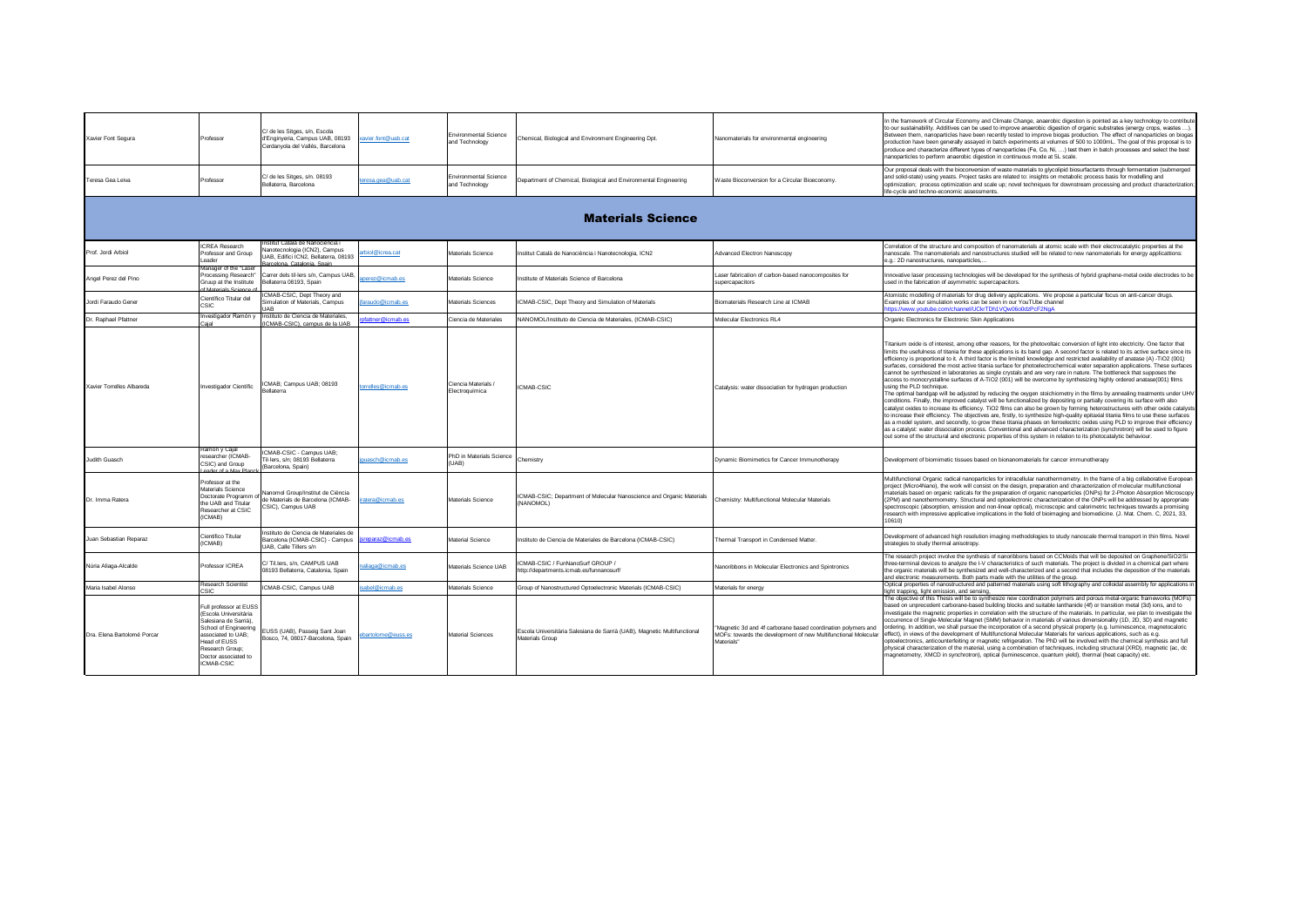| Xavier Font Segura          | Professor                                                                                                                                                                                        | C/ de les Sitges, s/n, Escola<br>d'Enginyeria, Campus UAB, 08193<br>Cerdanyola del Vallés, Barcelona                                  | avier.font@uab.cat | <b>Environmental Science</b><br>and Technology | Chemical, Biological and Environment Engineering Dpt.                                       | Nanomaterials for environmental engineering                                                                                                  | In the framework of Circular Economy and Climate Change, anaerobic digestion is pointed as a key technology to contribute<br>to our sustainability. Additives can be used to improve anaerobic digestion of organic substrates (energy crops, wastes )<br>Between them, nanoparticles have been recently tested to improve biogas production. The effect of nanoparticles on biogas<br>production have been generally assayed in batch experiments at volumes of 500 to 1000mL. The goal of this proposal is to<br>produce and characterize different types of nanoparticles (Fe, Co, Ni, ) test them in batch processes and select the best<br>nanoparticles to perform anaerobic digestion in continuous mode at 5L scale.                                                                                                                                                                                                                                                                                                                                                                                                                                                                                                                                                                                                                                                                                                                                                                                                                                                                                                                                                                                                                  |
|-----------------------------|--------------------------------------------------------------------------------------------------------------------------------------------------------------------------------------------------|---------------------------------------------------------------------------------------------------------------------------------------|--------------------|------------------------------------------------|---------------------------------------------------------------------------------------------|----------------------------------------------------------------------------------------------------------------------------------------------|-----------------------------------------------------------------------------------------------------------------------------------------------------------------------------------------------------------------------------------------------------------------------------------------------------------------------------------------------------------------------------------------------------------------------------------------------------------------------------------------------------------------------------------------------------------------------------------------------------------------------------------------------------------------------------------------------------------------------------------------------------------------------------------------------------------------------------------------------------------------------------------------------------------------------------------------------------------------------------------------------------------------------------------------------------------------------------------------------------------------------------------------------------------------------------------------------------------------------------------------------------------------------------------------------------------------------------------------------------------------------------------------------------------------------------------------------------------------------------------------------------------------------------------------------------------------------------------------------------------------------------------------------------------------------------------------------------------------------------------------------|
| Teresa Gea Leiva            | Professor                                                                                                                                                                                        | C/ de les Sitges, s/n. 08193<br>Bellaterra, Barcelona                                                                                 | eresa.gea@uab.cat  | <b>Environmental Science</b><br>and Technology | Department of Chemical, Biological and Environmental Engineering                            | Waste Bioconversion for a Circular Bioeconomy.                                                                                               | Our proposal deals with the bioconversion of waste materials to glycolipid biosurfactants through fermentation (submerged<br>and solid-state) using yeasts. Project tasks are related to: insights on metabolic process basis for modelling and<br>optimization; process optimization and scale up; novel techniques for downstream processing and product characterization<br>life-cycle and techno-economic assessments.                                                                                                                                                                                                                                                                                                                                                                                                                                                                                                                                                                                                                                                                                                                                                                                                                                                                                                                                                                                                                                                                                                                                                                                                                                                                                                                    |
|                             |                                                                                                                                                                                                  |                                                                                                                                       |                    |                                                | <b>Materials Science</b>                                                                    |                                                                                                                                              |                                                                                                                                                                                                                                                                                                                                                                                                                                                                                                                                                                                                                                                                                                                                                                                                                                                                                                                                                                                                                                                                                                                                                                                                                                                                                                                                                                                                                                                                                                                                                                                                                                                                                                                                               |
| Prof. Jordi Arbiol          | <b>ICREA Research</b><br>Professor and Group<br>eader                                                                                                                                            | nstitut Català de Nanociència i<br>Nanotecnologia (ICN2), Campus<br>JAB, Edifici ICN2, Bellaterra, 08193<br>tarcalona Catalonia Spain | thiol@icrea.cat    | Materials Science                              | Institut Català de Nanociència i Nanotecnologia, ICN2                                       | Advanced Electron Nanoscopy                                                                                                                  | Correlation of the structure and composition of nanomaterials at atomic scale with their electrocatalytic properties at the<br>nanoscale. The nanomaterials and nanostructures studied will be related to new nanomaterials for energy applicattions:<br>e.g.: 2D nanostructures, nanoparticles                                                                                                                                                                                                                                                                                                                                                                                                                                                                                                                                                                                                                                                                                                                                                                                                                                                                                                                                                                                                                                                                                                                                                                                                                                                                                                                                                                                                                                               |
| Angel Perez del Pino        | vlanager of the "Lase<br>Processing Research"<br>Gruup at the Institute<br>f Materiale Science                                                                                                   | Carrer dels til·lers s/n, Campus UAB,<br>Bellaterra 08193, Spain                                                                      | perez@icmab.es     | Materials Science                              | nstitute of Materials Science of Barcelona                                                  | Laser fabrication of carbon-based nanocomposites for<br>supercapacitors                                                                      | Innovative laser processing technologies will be developed for the synthesis of hybrid graphene-metal oxide electrodes to be<br>used in the fabrication of asymmetric supercapacitors.                                                                                                                                                                                                                                                                                                                                                                                                                                                                                                                                                                                                                                                                                                                                                                                                                                                                                                                                                                                                                                                                                                                                                                                                                                                                                                                                                                                                                                                                                                                                                        |
| Jordi Faraudo Gener         | Científico Titular del<br><b>CSIC</b>                                                                                                                                                            | CMAB-CSIC, Dept Theory and<br>Simulation of Materials, Campus                                                                         | araudo@icmab.es    | Materials Sciences                             | ICMAB-CSIC, Dept Theory and Simulation of Materials                                         | Biomaterials Research Line at ICMAB                                                                                                          | Atomistic modelling of materials for drug delivery applications. We propose a particular focus on anti-cancer drugs.<br>Examples of our simulation works can be seen in our YouTUbe channel<br>tps://www.youtube.com/channel/UCkrTDh1VQw06o0dzPcF2NgA                                                                                                                                                                                                                                                                                                                                                                                                                                                                                                                                                                                                                                                                                                                                                                                                                                                                                                                                                                                                                                                                                                                                                                                                                                                                                                                                                                                                                                                                                         |
| Dr. Raphael Pfattner        | nvestigador Ramón y<br>leie.                                                                                                                                                                     | Instituto de Ciencia de Materiales,<br>ICMAB-CSIC), campus de la UAB                                                                  | ofattner@icmab.es  | Ciencia de Materiales                          | NANOMOL/Instituto de Ciencia de Materiales, (ICMAB-CSIC)                                    | Molecular Electronics RL4                                                                                                                    | Organic Electronics for Electronic Skin Applications                                                                                                                                                                                                                                                                                                                                                                                                                                                                                                                                                                                                                                                                                                                                                                                                                                                                                                                                                                                                                                                                                                                                                                                                                                                                                                                                                                                                                                                                                                                                                                                                                                                                                          |
| Xavier Torrelles Albareda   | nvestigador Científic                                                                                                                                                                            | ICMAB: Campus UAB: 08193<br>Bellaterra                                                                                                | orrelles@icmab.es  | Ciencia Materials<br>Electroquímica            | ICMAB-CSIC                                                                                  | Catalysis: water dissociation for hydrogen production                                                                                        | Titanium oxide is of interest, among other reasons, for the photovoltaic conversion of light into electricity. One factor that<br>limits the usefulness of titania for these applications is its band gap. A second factor is related to its active surface since its<br>efficiency is proportional to it. A third factor is the limited knowledge and restricted availability of anatase (A) -TiO2 (001)<br>surfaces, considered the most active titania surface for photoelectrochemical water separation applications. These surfaces<br>cannot be synthesized in laboratories as single crystals and are very rare in nature. The bottleneck that supposes the<br>access to monocrystalline surfaces of A-TiO2 (001) will be overcome by synthesizing highly ordered anatase(001) films<br>using the PLD technique.<br>The optimal bandgap will be adjusted by reducing the oxygen stoichiometry in the films by annealing treatments under UHV<br>conditions. Finally, the improved catalyst will be functionalized by depositing or partially covering its surface with also<br>catalyst oxides to increase its efficiency. TiO2 films can also be grown by forming heterostructures with other oxide catalysts<br>to increase their efficiency. The objectives are, firstly, to synthesize high-quality epitaxial titania films to use these surfaces<br>as a model system, and secondly, to grow these titania phases on ferroelectric oxides using PLD to improve their efficiency<br>as a catalyst: water dissociation process. Conventional and advanced characterization (synchrotron) will be used to figure<br>out some of the structural and electronic properties of this system in relation to its photocatalytic behaviour. |
| Judith Guasch               | Ramón y Cajal<br>esearcher (ICMAB-<br>CSIC) and Group<br>eader of a Max Plan                                                                                                                     | CMAB-CSIC - Campus UAB;<br>Til-lers, s/n: 08193 Bellaterra<br>(Barcelona, Spain)                                                      | quasch@icmab.es    | PhD in Materials Science<br>(1)AB              | Chemistry                                                                                   | Dynamic Biomimetics for Cancer Immunotherapy                                                                                                 | Development of biomimetic tissues based on bionanomaterials for cancer immunotherapy                                                                                                                                                                                                                                                                                                                                                                                                                                                                                                                                                                                                                                                                                                                                                                                                                                                                                                                                                                                                                                                                                                                                                                                                                                                                                                                                                                                                                                                                                                                                                                                                                                                          |
| Dr. Imma Ratera             | Professor at the<br>Materials Science<br>Doctorate Programm g<br>the UAB and Titular<br>Researcher at CSIC<br>(ICMAB)                                                                            | Nanomol Group/Institut de Ciència<br>de Materials de Barcelona (ICMAB-<br>CSIC), Campus UAB                                           | atera@icmab.es     | Materials Science                              | ICMAB-CSIC; Department of Molecular Nanoscience and Organic Materials<br>(NANOMOL)          | Chemistry: Multifunctional Molecular Materials                                                                                               | Multifunctional Organic radical nanoparticles for intracellular nanothermometry. In the frame of a big collaborative European<br>project (Micro4Nano), the work will consist on the design, preparation and characterization of molecular multifunctional<br>materials based on organic radicals for the preparation of organic nanoparticles (ONPs) for 2-Photon Absorption Microscopy<br>(2PM) and nanothermometry. Structural and optoelectronic characterization of the ONPs will be addressed by appropriate<br>spectroscopic (absorption, emission and non-linear optical), microscopic and calorimetric techniques towards a promising<br>research with impressive applicative implications in the field of bioimaging and biomedicine. (J. Mat. Chem. C, 2021, 33,<br>10610)                                                                                                                                                                                                                                                                                                                                                                                                                                                                                                                                                                                                                                                                                                                                                                                                                                                                                                                                                          |
| Juan Sebastian Reparaz      | Científico Titular<br>(ICMAB)                                                                                                                                                                    | nstituto de Ciencia de Materiales de<br>Barcelona (ICMAB-CSIC) - Campus<br>UAB. Calle Tillers s/n                                     | sreparaz@icmab.es  | Material Science                               | Instituto de Ciencia de Materiales de Barcelona (ICMAB-CSIC)                                | Thermal Transport in Condensed Matter.                                                                                                       | Development of advanced high resolution imaging methodologies to study nanoscale thermal transport in thin films. Novel<br>strategies to study thermal anisotropy.                                                                                                                                                                                                                                                                                                                                                                                                                                                                                                                                                                                                                                                                                                                                                                                                                                                                                                                                                                                                                                                                                                                                                                                                                                                                                                                                                                                                                                                                                                                                                                            |
| Núria Aliaga-Alcalde        | Professor ICREA                                                                                                                                                                                  | C/Til.lers. s/n. CAMPUS UAB<br>08193 Bellaterra, Catalonia, Spain                                                                     | aliaga@icmab.es    | Materials Science UAB                          | CMAB-CSIC / FunNanoSurf GROUP /<br>http://departments.icmab.es/funnanosurf/                 | Nanoribbons in Molecular Electronics and Spintronics                                                                                         | The research project involve the synthesis of nanoribbons based on CCMoids that will be deposited on Graphene/SiO2/Si<br>three-terminal devices to analyze the I-V characteristics of such materials. The project is divided in a chemical part where<br>the organic materials will be synthesized and well-characterized and a second that includes the deposition of the materials<br>and electronic measurements. Both parts made with the utilities of the group.                                                                                                                                                                                                                                                                                                                                                                                                                                                                                                                                                                                                                                                                                                                                                                                                                                                                                                                                                                                                                                                                                                                                                                                                                                                                         |
| Maria Isabel Alonso         | Research Scientist<br>CIP'                                                                                                                                                                       | ICMAB-CSIC, Campus UAB                                                                                                                | abel@icmab.es      | Materials Science                              | Group of Nanostructured Optoelectronic Materials (ICMAB-CSIC)                               | Materials for energy                                                                                                                         | Optical properties of nanostructured and patterned materials using soft lithography and colloidal assembly for applications in<br>light trapping, light emission, and sensing,                                                                                                                                                                                                                                                                                                                                                                                                                                                                                                                                                                                                                                                                                                                                                                                                                                                                                                                                                                                                                                                                                                                                                                                                                                                                                                                                                                                                                                                                                                                                                                |
| Dra. Elena Bartolomé Porcar | Full professor at EUSS<br>(Escola Universitària<br>Salesiana de Sarrià),<br>School of Engineering<br>associated to UAB;<br>Head of EUSS<br>Research Group;<br>Doctor associated to<br>ICMAB-CSIC | EUSS (UAB), Passeig Sant Joan<br>Bosco, 74, 08017-Barcelona, Spain                                                                    | partolome@euss.es  | Material Sciences                              | Escola Universitària Salesiana de Sarrià (UAB). Magnetic Multifunctional<br>Materials Group | Magnetic 3d and 4f carborane based coordination polymers and<br>MOFs: towards the development of new Multifunctional Molecular<br>Materials" | The objective of this Thesis will be to synthesize new coordination polymers and porous metal-organic frameworks (MOFs)<br>based on unprecedent carborane-based building blocks and suitable lanthanide (4f) or transition metal (3d) ions, and to<br>investigate the magnetic properties in correlation with the structure of the materials. In particular, we plan to investigate the<br>occurrence of Single-Molecular Magnet (SMM) behavior in materials of various dimensionality (1D, 2D, 3D) and magnetic<br>vrdering. In addition, we shall pursue the incorporation of a second physical property (e.g. luminescence, magnetocaloric<br>ffect), in views of the development of Multifunctional Molecular Materials for various applications, such as e.g.<br>optoelectronics, anticounterfeiting or magnetic refrigeration. The PhD will be involved with the chemical synthesis and full<br>physical characterization of the material, using a combination of techniques, including structural (XRD), magnetic (ac. dc<br>magnetometry, XMCD in synchrotron), optical (luminescence, quantum yield), thermal (heat capacity) etc.                                                                                                                                                                                                                                                                                                                                                                                                                                                                                                                                                                                                   |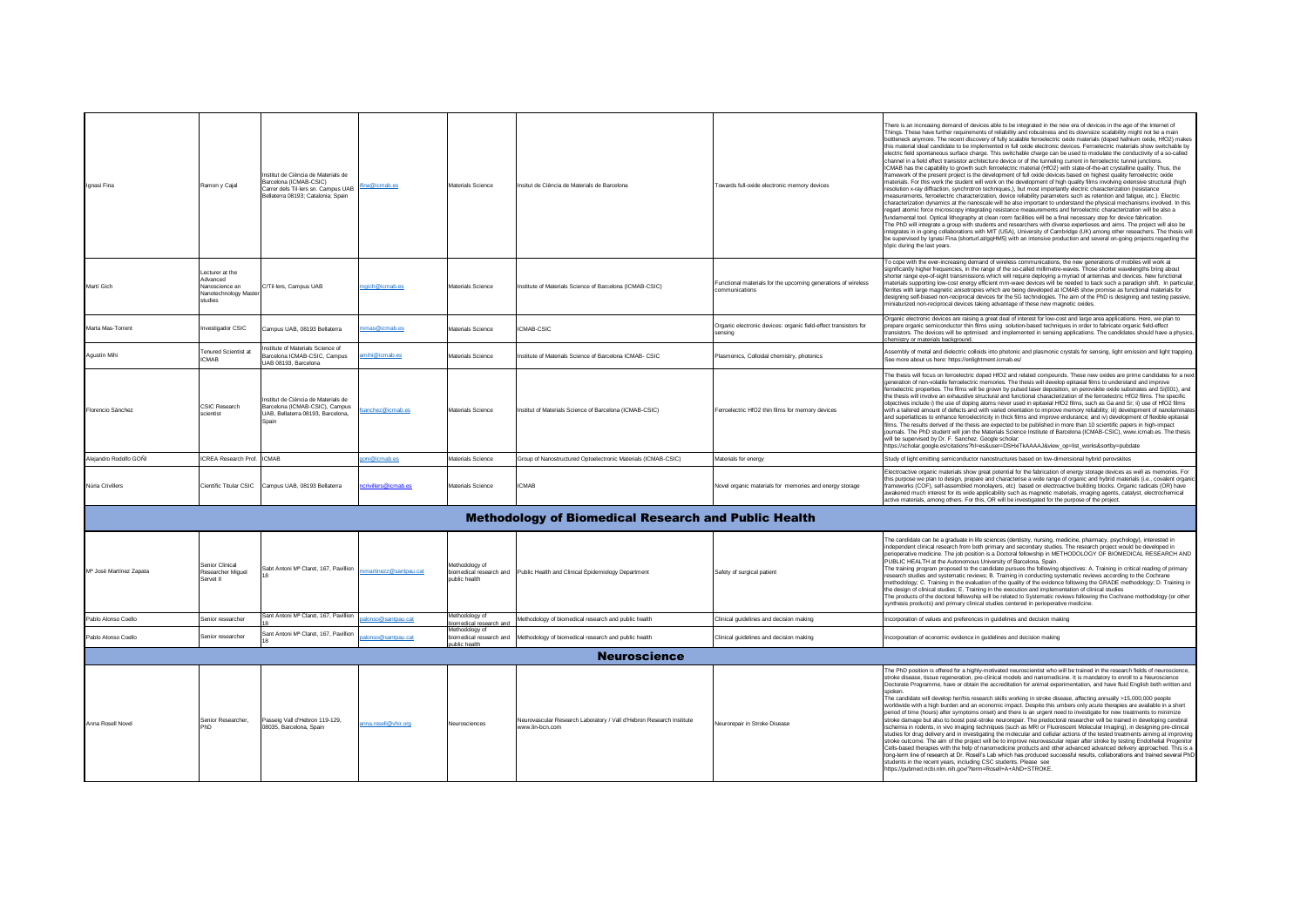| Ignasi Fina             | Ramon y Cajal                                                                          | Institut de Ciència de Materials de<br>Barcelona (ICMAB-CSIC)<br>Carrer dels Til-lers sn. Campus UAB<br>Bellaterra 08193; Catalonia; Spain | fina@icmab.es          | Materials Science                        | Insitut de Ciència de Materials de Barcelona                                            | Towards full-oxide electronic memory devices                                    | There is an increasing demand of devices able to be integrated in the new era of devices in the age of the Internet of<br>Things. These have further requirements of reliability and robustness and its downsize scalability might not be a main<br>bottleneck anymore. The recent discovery of fully scalable ferroelectric oxide materials (doped hafnium oxide, HfO2) makes<br>this material ideal candidate to be implemented in full oxide electronic devices. Ferroelectric materials show switchable by<br>electric field spontaneous surface charge. This switchable charge can be used to modulate the conductivity of a so-called<br>channel in a field effect transistor architecture device or of the tunneling current in ferroelectric tunnel junctions.<br>ICMAB has the capability to growth such ferroelectric material (HfO2) with state-of-the-art crystalline quality. Thus, the<br>framework of the present project is the development of full oxide devices based on highest quality ferroelectric oxide<br>naterials. For this work the student will work on the development of high quality films involving extensive structural (high<br>resolution x-ray diffraction, synchrotron techniques,), but most importantly electric characterization (resistance<br>neasurements, ferroelectric characterization, device reliability parameters such as retention and fatique, etc.). Electric<br>characterization dynamics at the nanoscale will be also important to understand the physical mechanisms involved. In this<br>regard atomic force microscopy integrating resistance measurements and ferroelectric characterization will be also a<br>fundamental tool. Optical lithography at clean room facilities will be a final necessary step for device fabrication.<br>The PhD will integrate a group with students and researchers with diverse expertieses and aims. The project will also be<br>integrates in in-going collaborations with MIT (USA). University of Cambridge (UK) among other reseachers. The thesis wil<br>be supervised by Ignasi Fina (shorturl.at/gqHM5) with an intensive production and several on-going projects regarding the<br>tòpic during the last years. |
|-------------------------|----------------------------------------------------------------------------------------|--------------------------------------------------------------------------------------------------------------------------------------------|------------------------|------------------------------------------|-----------------------------------------------------------------------------------------|---------------------------------------------------------------------------------|------------------------------------------------------------------------------------------------------------------------------------------------------------------------------------------------------------------------------------------------------------------------------------------------------------------------------------------------------------------------------------------------------------------------------------------------------------------------------------------------------------------------------------------------------------------------------------------------------------------------------------------------------------------------------------------------------------------------------------------------------------------------------------------------------------------------------------------------------------------------------------------------------------------------------------------------------------------------------------------------------------------------------------------------------------------------------------------------------------------------------------------------------------------------------------------------------------------------------------------------------------------------------------------------------------------------------------------------------------------------------------------------------------------------------------------------------------------------------------------------------------------------------------------------------------------------------------------------------------------------------------------------------------------------------------------------------------------------------------------------------------------------------------------------------------------------------------------------------------------------------------------------------------------------------------------------------------------------------------------------------------------------------------------------------------------------------------------------------------------------------------------------------------------------------------------------------------------------|
| Martí Gich              | Lecturer at the<br>Advanced<br>Nanoscience an<br><b>Janotechnology Mast</b><br>studies | C/Til-lers, Campus UAB                                                                                                                     | noich@icmab.es         | Materials Science                        | Institute of Materials Science of Barcelona (ICMAB-CSIC)                                | Functional materials for the upcoming generations of wireless<br>communications | To cope with the ever-increasing demand of wireless communications, the new generations of mobiles will work at<br>significantly higher frequencies, in the range of the so-called millimetre-waves. Those shorter wavelengths bring about<br>shorter range eye-of-sight transmissions which will require deploying a myriad of antennas and devices. New functional<br>materials supporting low-cost energy efficient mm-wave devices will be needed to back such a paradigm shift. In particula<br>errites with large magnetic anisotropies which are being developed at ICMAB show promise as functional materials for<br>designing self-biased non-reciprocal devices for the 5G technologies. The aim of the PhD is designing and testing passive,<br>niniaturized non-reciprocal devices taking advantage of these new magnetic oxides.                                                                                                                                                                                                                                                                                                                                                                                                                                                                                                                                                                                                                                                                                                                                                                                                                                                                                                                                                                                                                                                                                                                                                                                                                                                                                                                                                                          |
| Marta Mas-Torrent       | nvestigador CSIC                                                                       | Campus UAB, 08193 Bellaterra                                                                                                               | mas@icmab.es           | Materials Science                        | <b>ICMAB-CSIC</b>                                                                       | Organic electronic devices: organic field-effect transistors for<br>sensina     | Organic electronic devices are raising a great deal of interest for low-cost and large area applications. Here, we plan to<br>prepare organic semiconductor thin films using solution-based techniques in order to fabricate organic field-effec<br>ransistors. The devices will be optimised and implemented in sensing applications. The candidates should have a physics<br>chemistry or materials background.                                                                                                                                                                                                                                                                                                                                                                                                                                                                                                                                                                                                                                                                                                                                                                                                                                                                                                                                                                                                                                                                                                                                                                                                                                                                                                                                                                                                                                                                                                                                                                                                                                                                                                                                                                                                      |
| Agustín Mihi            | <b>Tenured Scientist at</b><br><b>ICMAR</b>                                            | estitute of Materials Science of<br>Barcelona ICMAB-CSIC, Campus<br>UAB 08193, Barcelona                                                   | mihi@icmab.es          | Materials Science                        | Institute of Materials Science of Barcelona ICMAB- CSIC                                 | Plasmonics, Colloidal chemistry, photonics                                      | Assembly of metal and dielectric colloids into photonic and plasmonic crystals for sensing, light emission and light trapping.<br>See more about us here: https://enlightment.icmab.es/                                                                                                                                                                                                                                                                                                                                                                                                                                                                                                                                                                                                                                                                                                                                                                                                                                                                                                                                                                                                                                                                                                                                                                                                                                                                                                                                                                                                                                                                                                                                                                                                                                                                                                                                                                                                                                                                                                                                                                                                                                |
| Florencio Sánchez       | <b>CSIC Research</b><br>scientist                                                      | Institut de Ciència de Materials de<br>Barcelona (ICMAB-CSIC), Campus<br>UAB, Bellaterra 08193, Barcelona,<br>Snain                        | sanchez@icmab.es       | Materials Science                        | Institut of Materials Science of Barcelona (ICMAB-CSIC)                                 | Ferroelectric HfO2 thin films for memory devices                                | The thesis will focus on ferroelectric doped HfO2 and related compounds. These new oxides are prime candidates for a nex<br>generation of non-volatile ferroelectric memories. The thesis will develop epitaxial films to understand and improve<br>ferroelectric properties. The films will be grown by pulsed laser deposition, on perovskite oxide substrates and Si(001), and<br>the thesis will involve an exhaustive structural and functional characterization of the ferroelectric HfO2 films. The specific<br>objectives include i) the use of doping atoms never used in epitaxial HfO2 films, such as Ga and Sr; ii) use of HfO2 films<br>with a tailored amount of defects and with varied orientation to improve memory reliability: iii) development of nanolaminate<br>and superlattices to enhance ferroelectricity in thick films and improve endurance; and iv) development of flexible epitaxial<br>films. The results derived of the thesis are expected to be published in more than 10 scientific papers in high-impact<br>journals. The PhD student will join the Materials Science Institute of Barcelona (ICMAB-CSIC), www.icmab.es. The thesis<br>will be supervised by Dr. F. Sanchez. Google scholar<br>https://scholar.google.es/citations?hl=es&user=DSHxiTkAAAAJ&view_op=list_works&sortby=pubdate                                                                                                                                                                                                                                                                                                                                                                                                                                                                                                                                                                                                                                                                                                                                                                                                                                                                                      |
| Alejandro Rodolfo GOÑI  | ICREA Research Prof. ICMAB                                                             |                                                                                                                                            | oni@icmab.es           | Materials Science                        | Group of Nanostructured Optoelectronic Materials (ICMAB-CSIC)                           | Materials for energy                                                            | Study of light emitting semiconductor nanostructures based on low-dimensional hybrid perovskites                                                                                                                                                                                                                                                                                                                                                                                                                                                                                                                                                                                                                                                                                                                                                                                                                                                                                                                                                                                                                                                                                                                                                                                                                                                                                                                                                                                                                                                                                                                                                                                                                                                                                                                                                                                                                                                                                                                                                                                                                                                                                                                       |
| Núria Crivillers        |                                                                                        | Científic Titular CSIC Campus UAB, 08193 Bellaterra                                                                                        | crivillers@icmab.es    | Materials Science                        | <b>ICMAB</b>                                                                            | Novel organic materials for memories and energy storage                         | Electroactive organic materials show great potential for the fabrication of energy storage devices as well as memories. For<br>this purpose we plan to design, prepare and characterise a wide range of organic and hybrid materials (i.e., covalent organi<br>rameworks (COF), self-assembled monolayers, etc) based on electroactive building blocks. Organic radicals (OR) have<br>awakened much interest for its wide applicability such as magnetic materials, imaging agents, catalyst, electrochemical<br>active materials, among others. For this, OR will be investigated for the purpose of the project.                                                                                                                                                                                                                                                                                                                                                                                                                                                                                                                                                                                                                                                                                                                                                                                                                                                                                                                                                                                                                                                                                                                                                                                                                                                                                                                                                                                                                                                                                                                                                                                                     |
|                         |                                                                                        |                                                                                                                                            |                        |                                          | <b>Methodology of Biomedical Research and Public Health</b>                             |                                                                                 |                                                                                                                                                                                                                                                                                                                                                                                                                                                                                                                                                                                                                                                                                                                                                                                                                                                                                                                                                                                                                                                                                                                                                                                                                                                                                                                                                                                                                                                                                                                                                                                                                                                                                                                                                                                                                                                                                                                                                                                                                                                                                                                                                                                                                        |
| Mª José Martínez Zanata | <b>Senior Clinical</b><br>Researcher Miguel<br>Servet II                               | Sabt Antoni Mª Claret, 167, Pavillion                                                                                                      | mmartinezz@santpau.cat | Methodology of<br>public health          | biomedical research and Public Health and Clinical Epidemiology Department              | Safety of surgical patient                                                      | The candidate can be a graduate in life sciences (dentistry, nursing, medicine, pharmacy, psychology), interested in<br>independent clinical research from both primary and secondary studies. The research project would be developed in<br>perioperative medicine. The job position is a Doctoral fellowship in METHODOLOGY OF BIOMEDICAL RESEARCH AND<br>PUBLIC HEALTH at the Autonomous University of Barcelona, Spain.<br>The training program proposed to the candidate pursues the following objectives: A. Training in critical reading of primary<br>research studies and systematic reviews; B. Training in conducting systematic reviews according to the Cochrane<br>methodology; C. Training in the evaluation of the quality of the evidence following the GRADE methodology; D. Training in<br>the design of clinical studies; E. Training in the execution and implementation of clinical studies<br>The products of the doctoral fellowship will be related to Systematic reviews following the Cochrane methodology (or other<br>synthesis products) and primary clinical studies centered in perioperative medicine.                                                                                                                                                                                                                                                                                                                                                                                                                                                                                                                                                                                                                                                                                                                                                                                                                                                                                                                                                                                                                                                                                |
| Pablo Alonso Coello     | Senior researcher                                                                      | Sant Antoni Mª Claret 167 Pavillion                                                                                                        | nso@santpau.cat        | Methodology of<br>viomedical research an | Methodology of biomedical research and public health                                    | Clinical guidelines and decision making                                         | ncorporation of values and preferences in guidelines and decision making                                                                                                                                                                                                                                                                                                                                                                                                                                                                                                                                                                                                                                                                                                                                                                                                                                                                                                                                                                                                                                                                                                                                                                                                                                                                                                                                                                                                                                                                                                                                                                                                                                                                                                                                                                                                                                                                                                                                                                                                                                                                                                                                               |
| Pablo Alonso Coello     | Senior researcher                                                                      | Sant Antoni Mª Claret, 167, Pavillion                                                                                                      | lonso@santpau.cat      | Methodology of<br>public health          | biomedical research and Methodology of biomedical research and public health            | Clinical guidelines and decision making                                         | ncorporation of economic evidence in guidelines and decision making                                                                                                                                                                                                                                                                                                                                                                                                                                                                                                                                                                                                                                                                                                                                                                                                                                                                                                                                                                                                                                                                                                                                                                                                                                                                                                                                                                                                                                                                                                                                                                                                                                                                                                                                                                                                                                                                                                                                                                                                                                                                                                                                                    |
|                         |                                                                                        |                                                                                                                                            |                        |                                          | <b>Neuroscience</b>                                                                     |                                                                                 |                                                                                                                                                                                                                                                                                                                                                                                                                                                                                                                                                                                                                                                                                                                                                                                                                                                                                                                                                                                                                                                                                                                                                                                                                                                                                                                                                                                                                                                                                                                                                                                                                                                                                                                                                                                                                                                                                                                                                                                                                                                                                                                                                                                                                        |
| Anna Rosell Novel       | Senior Researcher<br>PhD                                                               | Passeig Vall d'Hebron 119-129,<br>08035, Barcelona, Spair                                                                                  | anna.rosell@vhir.org   | Neurosciences                            | Neurovascular Research Laboratory / Vall d'Hebron Research Institute<br>www.lin-bcn.com | Neurorepair in Stroke Disease                                                   | The PhD position is offered for a highly-motivated neuroscientist who will be trained in the research fields of neuroscience,<br>stroke disease, tissue regeneration, pre-clinical models and nanomedicine. It is mandatory to enroll to a Neuroscience<br>Doctorate Programme, have or obtain the accreditation for animal experimentation, and have fluid English both written and<br>spoken.<br>The candidate will develop her/his research skills working in stroke disease, affecting annually >15,000,000 people<br>worldwide with a high burden and an economic impact. Despite this umbers only acute therapies are available in a short<br>period of time (hours) after symptoms onset) and there is an urgent need to investigate for new treatments to minimize<br>stroke damage but also to boost post-stroke neurorepair. The predoctoral researcher will be trained in developing cerebral<br>ischemia in rodents, in vivo imaging techniques (such as MRI or Fluorescent Molecular Imaging), in designing pre-clinical<br>studies for drug delivery and in investigating the molecular and cellular actions of the tested treatments aiming at improving<br>stroke outcome. The aim of the project will be to improve neurovascular repair after stroke by testing Endothelial Progenitor<br>Cells-based therapies with the help of nanomedicine products and other advanced advanced delivery approached. This is a<br>long-term line of research at Dr. Rosell's Lab which has produced successful results, collaborations and trained several PhD<br>students in the recent years, including CSC students. Please see<br>https://pubmed.ncbi.nlm.nih.gov/?term=Rosell+A+AND+STROKE.                                                                                                                                                                                                                                                                                                                                                                                                                                                                                                                  |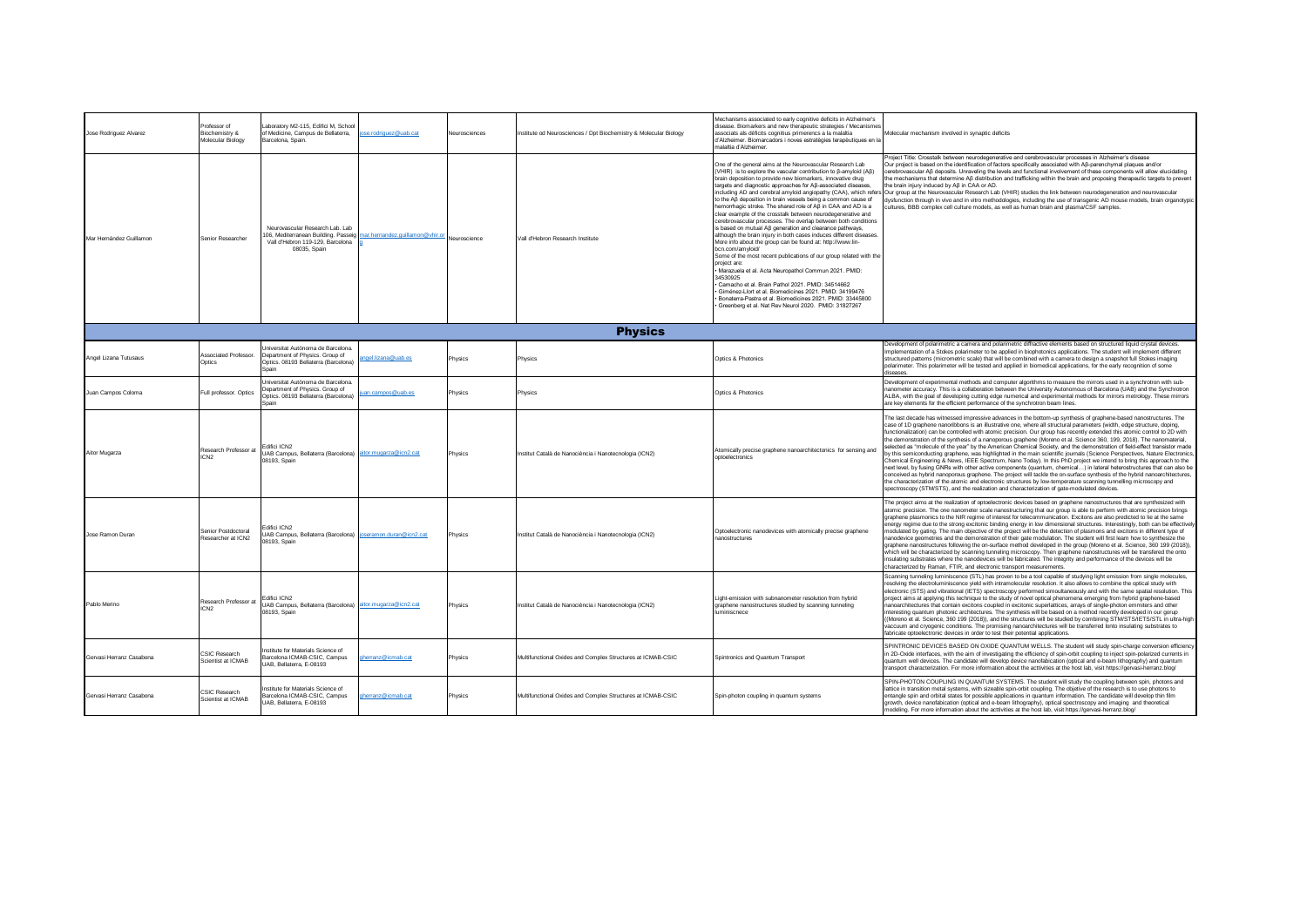| Jose Rodriguez Alvarez   | Professor of<br>Biochemistry &<br>Molecular Biology | Laboratory M2-115, Edifici M, School<br>of Medicine, Campus de Bellaterra,<br>ose.rodriguez@uab.cat<br>Barcelona, Spain.                                      | Neurosciences | Institute od Neurosciences / Dpt Biochemistry & Molecular Biology | Mechanisms associated to early cognitive deficits in Alzheimer's<br>disease. Biomarkers and new therapeutic strategies / Mecanismes<br>associats als dèficits cognitius primerencs a la malaltia<br>d'Alzheimer. Biomarcadors i noves estratègies terapèutiques en la<br>malaltia d'Alzheimer                                                                                                                                                                                                                                                                                                                                                                                                                                                                                                                                                                                                                                                                                                                                                                                                                                                       | Molecular mechanism involved in synaptic deficits                                                                                                                                                                                                                                                                                                                                                                                                                                                                                                                                                                                                                                                                                                                                                                                                                                                                                                                                                                                                                                                                                                                                                                                                                                                                                                                        |
|--------------------------|-----------------------------------------------------|---------------------------------------------------------------------------------------------------------------------------------------------------------------|---------------|-------------------------------------------------------------------|-----------------------------------------------------------------------------------------------------------------------------------------------------------------------------------------------------------------------------------------------------------------------------------------------------------------------------------------------------------------------------------------------------------------------------------------------------------------------------------------------------------------------------------------------------------------------------------------------------------------------------------------------------------------------------------------------------------------------------------------------------------------------------------------------------------------------------------------------------------------------------------------------------------------------------------------------------------------------------------------------------------------------------------------------------------------------------------------------------------------------------------------------------|--------------------------------------------------------------------------------------------------------------------------------------------------------------------------------------------------------------------------------------------------------------------------------------------------------------------------------------------------------------------------------------------------------------------------------------------------------------------------------------------------------------------------------------------------------------------------------------------------------------------------------------------------------------------------------------------------------------------------------------------------------------------------------------------------------------------------------------------------------------------------------------------------------------------------------------------------------------------------------------------------------------------------------------------------------------------------------------------------------------------------------------------------------------------------------------------------------------------------------------------------------------------------------------------------------------------------------------------------------------------------|
| Mar Hernández Guillamon  | Senior Researcher                                   | Neurovascular Research Lab. Lab<br>106, Mediterranean Building. Passeig<br>nar.hernandez.guillamon@vhir.o<br>Vall d'Hebron 119-129, Barcelona<br>08035, Spain | Veuroscience  | Vall d'Hebron Research Institute                                  | One of the general aims at the Neurovascular Research Lab<br>(VHIR) is to explore the vascular contribution to β-amyloid (Aβ)<br>brain deposition to provide new biomarkers, innovative drug<br>targets and diagnostic approaches for Aß-associated diseases,<br>to the Aß deposition in brain vessels being a common cause of<br>hemorrhagic stroke. The shared role of Aβ in CAA and AD is a<br>clear example of the crosstalk between neurodegenerative and<br>cerebrovascular processes. The overlap between both conditions<br>is based on mutual Aβ generation and clearance pathways,<br>although the brain injury in both cases induces different diseases<br>More info about the group can be found at: http://www.lin-<br>hen com/amyloid/<br>Some of the most recent publications of our group related with the<br>project are:<br>· Marazuela et al. Acta Neuropathol Commun 2021. PMID:<br>34530925<br>Camacho et al. Brain Pathol 2021. PMID: 34514662<br>Giménez-Llort et al. Biomedicines 2021. PMID: 34199476<br>Bonaterra-Pastra et al. Biomedicines 2021. PMID: 33445800<br>Greenberg et al. Nat Rev Neurol 2020. PMID: 31827267 | Project Title: Crosstalk between neurodegenerative and cerebrovascular processes in Alzheimer's disease<br>Our project is based on the identification of factors specifically associated with Aß-parenchymal plaques and/or<br>cerebrovascular Aß deposits. Unraveling the levels and functional involvement of these components will allow elucidating<br>the mechanisms that determine Aß distribution and trafficking within the brain and proposing therapeutic targets to prevent<br>the brain injury induced by Aß in CAA or AD.<br>including AD and cerebral amyloid angiopathy (CAA), which refers Our group at the Neurovascular Research Lab (VHIR) studies the link between neurodegeneration and neurovascular<br>dysfunction through in vivo and in vitro methodologies, including the use of transgenic AD mouse models, brain organotypic<br>cultures, BBB complex cell culture models, as well as human brain and plasma/CSF samples.                                                                                                                                                                                                                                                                                                                                                                                                                    |
|                          |                                                     |                                                                                                                                                               |               | <b>Physics</b>                                                    |                                                                                                                                                                                                                                                                                                                                                                                                                                                                                                                                                                                                                                                                                                                                                                                                                                                                                                                                                                                                                                                                                                                                                     |                                                                                                                                                                                                                                                                                                                                                                                                                                                                                                                                                                                                                                                                                                                                                                                                                                                                                                                                                                                                                                                                                                                                                                                                                                                                                                                                                                          |
| Angel Lizana Tutusaus    | Associated Professor.<br>Ontics                     | Jniversitat Autònoma de Barcelona.<br>Department of Physics. Group of<br>ael.lizana@uab.es<br>Optics. 08193 Bellaterra (Barcelona)<br>Spain                   | Physics       | Physics                                                           | Optics & Photonics                                                                                                                                                                                                                                                                                                                                                                                                                                                                                                                                                                                                                                                                                                                                                                                                                                                                                                                                                                                                                                                                                                                                  | Development of polarimetric a camera and polarimetric diffractive elements based on structured liquid crystal devices.<br>Implementation of a Stokes polarimeter to be applied in biophotonics applications. The student will implement different<br>structured patterns (micrometric scale) that will be combined with a camera to design a snapshot full Stokes imaging<br>polarimeter. This polarimeter will be tested and applied in biomedical applications, for the early recognition of some<br>diseases.                                                                                                                                                                                                                                                                                                                                                                                                                                                                                                                                                                                                                                                                                                                                                                                                                                                         |
| Juan Campos Coloma       | Full professor, Optics                              | Universitat Autònoma de Barcelona<br>Department of Physics. Group of<br><u>an.campos@uab.es</u><br>Optics. 08193 Bellaterra (Barcelona)<br>Spain              | Physics       | Physics                                                           | Optics & Photonics                                                                                                                                                                                                                                                                                                                                                                                                                                                                                                                                                                                                                                                                                                                                                                                                                                                                                                                                                                                                                                                                                                                                  | Development of experimental methods and computer algorithms to measure the mirrors used in a synchrotron with sub-<br>nanometer accuracy. This is a collaboration between the University Autonomous of Barcelona (UAB) and the Synchrotron<br>ALBA, with the goal of developing cutting edge numerical and experimental methods for mirrors metrology. These mirrors<br>are key elements for the efficient performance of the synchrotron beam lines.                                                                                                                                                                                                                                                                                                                                                                                                                                                                                                                                                                                                                                                                                                                                                                                                                                                                                                                    |
| Aitor Mugarza            | Research Professor at<br>ICN <sub>2</sub>           | Fdifici ICN2<br>UAB Campus, Bellaterra (Barcelona) aitor.mugarza@icn2.cat<br>08193, Spain                                                                     | Physics       | Institut Català de Nanociència i Nanotecnologia (ICN2)            | Atomically precise graphene nanoarchitectonics for sensing and<br>optoelectronics                                                                                                                                                                                                                                                                                                                                                                                                                                                                                                                                                                                                                                                                                                                                                                                                                                                                                                                                                                                                                                                                   | The last decade has witnessed impressive advances in the bottom-up synthesis of graphene-based nanostructures. The<br>case of 1D graphene nanoribbons is an illustrative one, where all structural parameters (width, edge structure, doping,<br>functionalization) can be controlled with atomic precision. Our group has recently extended this atomic control to 2D with<br>the demonstration of the synthesis of a nanoporous graphene (Moreno et al. Science 360, 199, 2018). The nanomaterial,<br>selected as "molecule of the year" by the American Chemical Society, and the demonstration of field-effect transistor made<br>by this semiconducting graphene, was highlighted in the main scientific journals (Science Perspectives, Nature Electronics,<br>Chemical Engineering & News, IEEE Spectrum, Nano Today). In this PhD project we intend to bring this approach to the<br>next level, by fusing GNRs with other active components (quantum, chemical) in lateral heterostructures that can also be<br>conceived as hybrid nanoporous graphene. The project will tackle the on-surface synthesis of the hybrid nanoarchitectures,<br>the characterization of the atomic and electronic structures by low-temperature scanning tunnelling microscopy and<br>spectroscopy (STM/STS), and the realization and characterization of gate-modulated devices. |
| Jose Ramon Duran         | Senior Postdoctoral<br>Researcher at ICN2           | difici ICN2<br>UAB Campus, Bellaterra (Barcelona) joseramon.duran@icn2.cat<br>08193, Spain                                                                    | Physics       | Institut Català de Nanociència i Nanotecnologia (ICN2)            | Optoelectronic nanodevices with atomically precise graphene<br>nanostructures                                                                                                                                                                                                                                                                                                                                                                                                                                                                                                                                                                                                                                                                                                                                                                                                                                                                                                                                                                                                                                                                       | The project aims at the realization of optoelectronic devices based on graphene nanostructures that are synthesized with<br>atomic precision. The one nanometer scale nanostructuring that our group is able to perform with atomic precision brings<br>graphene plasmonics to the NIR regime of interest for telecommunication. Excitons are also predicted to lie at the same<br>energy regime due to the strong excitonic binding energy in low dimensional structures. Interestingly, both can be effectively<br>modulated by gating. The main objective of the project will be the detection of plasmons and excitons in different type of<br>nanodevice geometries and the demonstration of their gate modulation. The student will first learn how to synthesize the<br>graphene nanostructures following the on-surface method developed in the group (Moreno et al. Science, 360 199 (2018))<br>which will be characterized by scanning tunneling microscopy. Then graphene nanostructures will be transfered the onto<br>insulating substrates where the nanodevices will be fabricated. The integrity and performance of the devices will be<br>characterized by Raman, FTIR, and electronic transport measurements.                                                                                                                                          |
| Pablo Merino             | Research Professor at<br>ICN <sub>2</sub>           | Edifici ICN2<br>JAB Campus, Bellaterra (Barcelona) aitor.mugarza@icn2.cat<br>08193, Spain                                                                     | Physics       | Institut Català de Nanociència i Nanotecnologia (ICN2)            | Light-emission with subnanometer resolution from hybrid<br>graphene nanostructures studied by scanning tunneling<br>uminiscnece                                                                                                                                                                                                                                                                                                                                                                                                                                                                                                                                                                                                                                                                                                                                                                                                                                                                                                                                                                                                                     | Scanning tunneling luminiscence (STL) has proven to be a tool capable of studying light emission from single molecules,<br>resolving the electroluminiscence yield with intramolecular resolution. It also allows to combine the optical study with<br>electronic (STS) and vibrational (IETS) spectroscopy performed simoultaneously and with the same spatial resolution. This<br>project aims at applying this technique to the study of novel optical phenomena emerging from hybrid graphene-based<br>nanoarchitectures that contain excitons coupled in excitonic superlattices, arrays of single-photon emmiters and other<br>interesting quantum photonic architectures. The synthesis will be based on a method recently developed in our gorup<br>((Moreno et al. Science, 360 199 (2018)), and the structures will be studied by combining STM/STS/IETS/STL in ultra-high<br>vaccuum and cryogenic conditions. The promising nanoarchitectures will be transferred lonto insulating substrates to<br>fabricate optoelectronic devices in order to test their potential applications.                                                                                                                                                                                                                                                                          |
| Gervasi Herranz Casabona | <b>CSIC Research</b><br>Scientist at ICMAR          | Institute for Materials Science of<br>Barcelona ICMAB-CSIC, Campus<br>oherranz@icmab.cat<br>UAB, Bellaterra, E-08193                                          | Physics       | Multifunctional Oxides and Complex Structures at ICMAB-CSIC       | Spintronics and Quantum Transport                                                                                                                                                                                                                                                                                                                                                                                                                                                                                                                                                                                                                                                                                                                                                                                                                                                                                                                                                                                                                                                                                                                   | SPINTRONIC DEVICES BASED ON OXIDE QUANTUM WELLS. The student will study spin-charge conversion efficiency<br>in 2D-Oxide interfaces, with the aim of investigating the efficiency of spin-orbit coupling to inject spin-polarized currents in<br>quantum well devices. The candidate will develop device nanofabication (optical and e-beam lithography) and quantum<br>transport characterization. For more information about the acttivities at the host lab, visit https://gervasi-herranz.blog/                                                                                                                                                                                                                                                                                                                                                                                                                                                                                                                                                                                                                                                                                                                                                                                                                                                                      |
| Gervasi Herranz Casabona | <b>CSIC Research</b><br>Scientist at ICMAB          | stitute for Materials Science of<br>Barcelona ICMAB-CSIC, Campus<br>oherranz@icmab.cat<br>UAB, Bellaterra, E-08193                                            | Physics       | Multifunctional Oxides and Complex Structures at ICMAB-CSIC       | Spin-photon coupling in quantum systems                                                                                                                                                                                                                                                                                                                                                                                                                                                                                                                                                                                                                                                                                                                                                                                                                                                                                                                                                                                                                                                                                                             | SPIN-PHOTON COUPLING IN QUANTUM SYSTEMS. The student will study the coupling between spin, photons and<br>lattice in transition metal systems, with sizeable spin-orbit coupling. The objetive of the research is to use photons to<br>entangle spin and orbital states for possible applications in quantum information. The candidate will develop thin film<br>growth, device nanofabication (optical and e-beam lithography), optical spectroscopy and imaging and theoretical<br>modeling. For more information about the acttivities at the host lab, visit https://gervasi-herranz.blog/                                                                                                                                                                                                                                                                                                                                                                                                                                                                                                                                                                                                                                                                                                                                                                          |